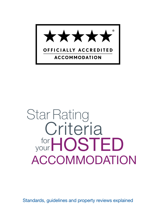

# Star Rating for your HOSTED Criteria ACCOMMODATION

Standards, guidelines and property reviews explained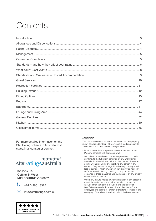# Contents

For more detailed information on the Star Rating scheme in Australia, visit starratings.com.au or contact:

#### \*\*\*\*\*<sup>®</sup> starratingsaustralia

#### PO BOX 16 Collins St West MELBOURNE VIC 8007



+61 3 9601 3325



minfo@starratings.com.au

#### *Disclaimer*

The information contained in this document or in any property review conducted by Star Ratings Australia made pursuant to these criteria and the standards and guidelines:

- Does not constitute a representation or warranty that your Property complies with applicable laws.
- Should not be relied on as the reason you do or do not do anything, to the full extent permitted by law, Star Ratings Australia, its shareholders, officers, di ectors, employees and agents will not be under any liability to any person in any respect of any loss or damage (including any consequential loss or damage) which any person may directly or indirectly suffer as a result of using or relying on any information contained in these standards and guidelines or on any property review made pursuant to.
- Where any statute implies any term in relation to any person's use of these standards and guidelines which cannot be excluded then that term is included, and the liability of Star Ratings Australia, its shareholders, directors, officers employees and agents for breach of that term is limited to the re–supply of the relevant service to which the breach relates.

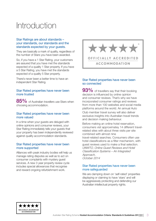# <span id="page-2-0"></span>Introduction

#### Star Ratings are about standards – your standards, our standards and the standards expected by your guests.

They are basically a mark of quality, regardless of the number of Stars you have been awarded.

So, if you have a 1 Star Rating, your customers are assured that you have met the standards expected of a quality 1 Star property. If you have a 5 Star Rating, you have met the standards expected of a quality 5 Star property.

There's never been a better time to have an independent Star Rating.

#### Star Rated properties have never been more trusted

85% of Australian travellers use Stars when choosing accommodation.

#### Star Rated properties have never been more valued

In a time when your guests are deluged with online opinions and consumer reviews, your Star Rating immediately tells your guests that your property has been independently reviewed against quality accommodation standards.

#### Star Rated properties have never been more supported

Alliances with peak industry bodies will help us manage rating disputes as well as to act on consumer complaints with mystery guest services. A new 3 year property review cycle includes special allowances that recognise and reward ongoing refurbishment work.



#### Star Rated properties have never been so connected

93% of travellers say that their booking decision is influenced by online opinion and consumer reviews. That's why we have incorporated consumer ratings and reviews from more than 100 websites and social media platforms around the world. An annual Auto Club member travel survey will also deliver exclusive insights into Australian travel trends and decision making behaviour.

Before making an online hotel reservation, consumers vist approximatey 14 different travelrelated sites with about three visits per site combined with almost nine travel-related searches. Consumers often use hotel classifications as a filter mechanism, with guest reviews used to make a final selection. UNWTO, Online Guest Reviews and Hotel Classification Systems – An Integrated Approach, October 2014

#### Star Rated properties have never been more safeguarded

We are clamping down on 'self-rated' properties displaying or claiming to have 'stars' and will be aggressively protecting and defending our Australian intellectual property rights.

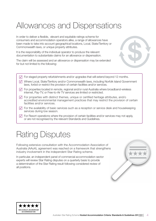# <span id="page-3-0"></span>Allowances and Dispensations

In order to deliver a flexible, elevant and equitable ratings scheme for consumers and accommodation operators alike, a range of allowances have been made to take into account geographical locations, Local, State/Territory or Commonwealth laws, or unique property attributes.

It is the responsibility of the individual operator to produce the relevant documentation to substantiate claims for an allowance or dispensation.

The claim will be assessed and an allowance or dispensation may be extended for but not limited to the following:



- $\sqrt{ }$  For staged property refurbishments and/or upgrades that will extend beyond 12 months.
- $\sqrt{ }$  Where Local, State/Territory and/or Commonwealth laws, including Norfolk Island Government laws, forbid or restrict the provision of certain facilities and/or services.
- $\sqrt{\phantom{a}}$  For properties located in remote, regional and/or rural Australia where broadband-wireless internet, Pay-TV, or Free-to-Air TV services are limited or restricted.
- $\sqrt{ }$  For properties with distinct themes, unique or certified heritage attributes, and/o accredited environmental management practices that may restrict the provision of certain facilities and/or services.
- $\sqrt{\phantom{a}}$  For the availability of basic services such as a reception or service desk and housekeeping services during low season.
- $\sqrt{ }$  For Resort operations where the provision of certain facilities and/or services may not apply, or are not recognised by the relevant Standards and Guidelines.

# Rating Disputes

Following extensive consultation with the Accommodation Association of Australia (AAoA), agreement was reached on a framework that strengthens industry involvement in the independent Star Rating scheme.

In particular, an independent panel of commercial accommodation sector experts will review Star Rating disputes on a quarterly basis to provide a determination of the Star Rating result following considered review of all positions.



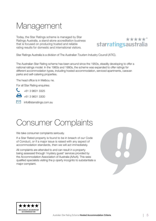# <span id="page-4-0"></span>Management

Today, the Star Ratings scheme is managed by Star Ratings Australia, a stand-alone accreditation business that is focused on producing trusted and reliable rating results for domestic and international visitors.



Star Ratings Australia is a division of The Australian Tourism Industry Council (ATIC).

The Australian Star Rating scheme has been around since the 1950s, steadily developing to offer a national ratings model. In the 1980s and 1990s, the scheme was expanded to offer ratings for different accommodation types, including hosted accommodation, serviced apartments, caravan parks and self-catering properties.

The head office is in Melbou ne.

For all Star Rating enquiries:



 $+61.39601.3300$ 

mfo@starratings.com.au

# Consumer Complaints

We take consumer complaints seriously.

If a Star Rated property is found to be in breach of our Code of Conduct, or if a major issue is raised with any aspect of accommodation standards, then we will act immediately.

All complaints are attended to and can result in a property being assessed through 'mystery guest' services provided by the Accommodation Association of Australia (AAoA). This sees qualified specialists visiting the p operty incognito to substantiate a major complaint.



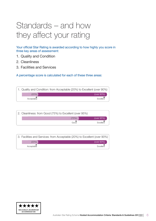# <span id="page-5-0"></span>Standards – and how they affect your rating

Your official Star Rating is awarded according to how highly you score in three key areas of assessment:

- 1. Quality and Condition
- 2. Cleanliness
- 3. Facilities and Services

A percentage score is calculated for each of these three areas:

|            | 1. Quality and Condition: from Acceptable (20%) to Excellent (over 90%) |
|------------|-------------------------------------------------------------------------|
| (20%)      | (over 90%)                                                              |
| Acceptable | Excellent                                                               |

| 2. Cleanliness: from Good (75%) to Excellent (over 95%) |  |  |  |  |
|---------------------------------------------------------|--|--|--|--|
| (75%)<br>(over $95\%$ )                                 |  |  |  |  |
| Good<br>Excellent                                       |  |  |  |  |

|  |            | 3. Facilities and Services: from Acceptable (20%) to Excellent (over 90%) |  |
|--|------------|---------------------------------------------------------------------------|--|
|  | (20%)      | (over 90%)                                                                |  |
|  | Acceptable | Excellent                                                                 |  |

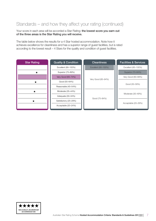### Standards – and how they affect your rating (continued)

Your score in each area will be accorded a Star Rating: the lowest score you earn out of the three areas is the Star Rating you will receive.

The table below shows the results for a 4 Star hosted accommodation. Note how it achieves excellence for cleanliness and has a superior range of guest facilities, but is rated according to the lowest result – 4 Stars for the quality and condition of guest facilities.

| <b>Star Rating</b> | <b>Quality &amp; Condition</b> | <b>Cleanliness</b>  | <b>Facilities &amp; Services</b> |
|--------------------|--------------------------------|---------------------|----------------------------------|
|                    | Excellent (90-100%)            | Excellent (95-100%) | Excellent (85-100%)              |
| ×                  | Superior (75-89%)              |                     |                                  |
|                    | Very Good (65-74%)             |                     | Very Good (60-69%)               |
| $\star$            | Good (55-64%)                  | Very Good (85-94%)  |                                  |
|                    | Reasonable (45-54%)            |                     | Good (50-59%)                    |
| ★                  | Moderate (35-44%)              |                     |                                  |
|                    | Adequate (30-34%)              |                     | Moderate (30-49%)                |
| ★                  | Satisfactory (25-29%)          | Good (75-84%)       |                                  |
|                    | Acceptable (20-24%)            |                     | Acceptable (20-29%)              |

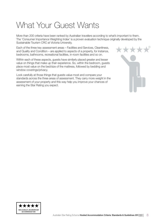# <span id="page-7-0"></span>What Your Guest Wants

More than 200 criteria have been ranked by Australian travellers according to what's important to them. The 'Consumer Importance Weighting Index' is a proven evaluation technique originally developed by the Sustainable Tourism CRC at Victoria University.

 $\frac{1}{2} \left( \frac{1}{2} \frac{1}{2} + \frac{1}{2} \frac{1}{2} \right)$ 

Each of the three key assessment areas – Facilities and Services, Cleanliness, and Quality and Condition – are applied to aspects of a property, for instance, bedrooms, bathrooms, recreational facilities, in-room facilities and so on.

Within each of these aspects, guests have similarly placed greater and lesser value on things that make up their experience. So, within the bedroom, guests place most value on the bed/size of the mattress, followed by bedding and window coverings/privacy.

Look carefully at those things that guests value most and compare your standards across the three areas of assessment. They carry more weight in the assessment of your property and this way help you improve your chances of earning the Star Rating you expect.

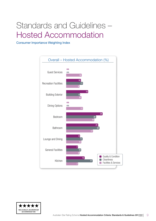# <span id="page-8-0"></span>Standards and Guidelines – Hosted Accommodation

Consumer Importance Weighting Index



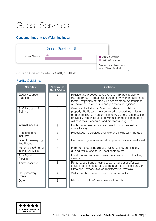# <span id="page-9-0"></span>Guest Services

#### Consumer Importance Weighting Index

|                       | Guest Services (%) |                                                           |
|-----------------------|--------------------|-----------------------------------------------------------|
| <b>Guest Services</b> | n/a                | Quality & Condition<br><b>Facilities &amp; Services</b>   |
|                       |                    | Cleanliness - Minimum overall<br>score of "Good" Required |

Condition scores apply in lieu of Quality Guidelines.

| <b>Standard</b>                                    | <b>Maximum</b><br><b>Rank/Value</b> | Guideline                                                                                                                                                                                                                                                                                                       |
|----------------------------------------------------|-------------------------------------|-----------------------------------------------------------------------------------------------------------------------------------------------------------------------------------------------------------------------------------------------------------------------------------------------------------------|
| <b>Guest Feedback</b><br>Practices                 | 5                                   | Policies and procedures relevant to individual property,<br>maybe through formal online guest survey or inhouse guest<br>forms. Properties affliated with accommodation franchise<br>will have their procedures and practices recognised.                                                                       |
| Staff Induction &<br>Training                      | $\overline{4}$                      | Guest service induction & training relevant to individual<br>property. Participation in recognised or accredited industry<br>programmes or attendance at industry conferences, meetings<br>or events. Properties affliated with accommodation franchise<br>will have their procedures and practices recognised. |
| <b>Internet Access</b>                             | 3                                   | Public broadband or Wi Fi access from communal or<br>shared areas.                                                                                                                                                                                                                                              |
| Housekeeping<br>Inclusive                          | $\overline{4}$                      | Housekeeping services available and included in the rate.                                                                                                                                                                                                                                                       |
| Or - Housekeeping<br>Fee-Based                     | 3                                   | Housekeeping services available upon request and fee-based.                                                                                                                                                                                                                                                     |
| Personalised/Special<br><b>Interest Activities</b> | 5                                   | Farm tours, cooking classes, wine tasting, art classes,<br>guided walks, eco-tours, local heritage etc.                                                                                                                                                                                                         |
| <b>Tour Booking</b><br>Service                     | $\overline{4}$                      | Local tours/attractions, forward accommodation booking<br>service.                                                                                                                                                                                                                                              |
| Transfer service                                   | 3                                   | Personalised transfer service, e.g chauffeur and/or taxi<br>service for all guests. Service must adhere to local and/or<br>State and Territory laws eg registered tour vehicle.                                                                                                                                 |
| Complimentary<br><b>Extras</b>                     | $\overline{4}$                      | Welcome chocolates, hosted welcome drinks.                                                                                                                                                                                                                                                                      |
| Other                                              | $\overline{2}$                      | Maximum 1 'other' guest service to apply.                                                                                                                                                                                                                                                                       |

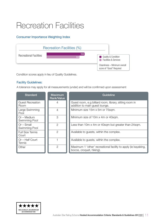# <span id="page-10-0"></span>Recreation Facilities

#### Consumer Importance Weighting Index



Condition scores apply in lieu of Quality Guidelines.

#### Facility Guidelines:

A tolerance may apply for all measurements (under) and will be confirmed upon assessment

| <b>Standard</b>                  | <b>Maximum</b><br>Rank/Value | Guideline                                                                                  |  |
|----------------------------------|------------------------------|--------------------------------------------------------------------------------------------|--|
| <b>Guest Recreation</b><br>Room  | $\overline{4}$               | Guest room, e.g billiard room, library, sitting room in<br>addition to main guest lounge.  |  |
| Large Swimming<br>Pool           | 4                            | Minimum size 15m x 5m or 75sqm.                                                            |  |
| $Or - Medium$<br>Swimming Pool   | 3                            | Minimum size of 10m x 4m or 40sqm.                                                         |  |
| $Or$ – Small<br>Swimming Pool    | $\mathcal{P}$                | Less than 10m x 4m or 40sqm but greater than 24sqm.                                        |  |
| <b>Full Size Tennis</b><br>Court | 2                            | Available to guests, within the complex.                                                   |  |
| Or - Half Court<br><b>Tennis</b> |                              | Available to guests, within the complex.                                                   |  |
| Other                            | $\overline{2}$               | Maximum 1 'other' recreational facility to apply (ie kayaking,<br>bocce, croquet, hiking). |  |

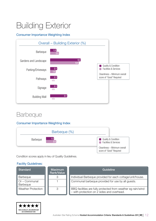# <span id="page-11-0"></span>Building Exterior

#### Consumer Importance Weighting Index



### **Barbeque**

#### Consumer Importance Weighting Index



Condition scores apply in lieu of Quality Guidelines.

| <b>Standard</b>                  | <b>Maximum</b><br>Rank/Value | Guideline                                                                                                  |
|----------------------------------|------------------------------|------------------------------------------------------------------------------------------------------------|
| Barbeque                         | З                            | Individual Barbeque provided for each cottage/unit/house.                                                  |
| $\Box$ Or – Communal<br>Barbeque |                              | Communal barbeque provided for use by all guests.                                                          |
| <b>Weather Protection</b>        | 3                            | BBQ facilities are fully protected from weather eg rain/wind<br>- with protection on 2 sides and overhead. |

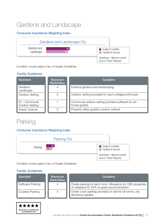## Gardens and Landscape

#### Consumer Importance Weighting Index



Condition scores apply in lieu of Quality Guidelines.

#### Facility Guidelines:

| <b>Standard</b>                                | <b>Maximum</b><br>Rank/Value | Guideline                                                               |
|------------------------------------------------|------------------------------|-------------------------------------------------------------------------|
| Gardens/<br>Landscape                          |                              | External gardens and landscaping.                                       |
| <b>Outdoor Setting</b>                         | 3                            | Outdoor setting provided for each cottage/unit/house.                   |
| $\Box$ Or – Communal<br><b>Outdoor Setting</b> |                              | Communal outdoor setting provided sufficient for all i<br>house guests. |
| Scenic Outlook                                 | З                            | Property offers guests a scenic outlook.                                |

### Parking

#### Consumer Importance Weighting Index



Condition scores apply in lieu of Quality Guidelines.

| <b>Standard</b>    | <b>Maximum</b><br>Rank/Value | Guideline                                                                                                 |
|--------------------|------------------------------|-----------------------------------------------------------------------------------------------------------|
| Sufficient Parking |                              | Onsite parking for each room. Allowance for CBD properties<br>of carspace for 25% of guest accommodation. |
| Covered Parking    | ◠                            | Under cover parking provided on site for all rooms, city<br>allowance applies.                            |

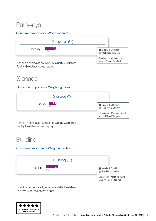### Pathways

#### Consumer Importance Weighting Index



Facility Guidelines do not apply.

### Signage

#### Consumer Importance Weighting Index



Condition scores apply in lieu of Quality Guidelines. Facility Guidelines do not apply.

### **Building**

#### Consumer Importance Weighting Index



Condition scores apply in lieu of Quality Guidelines. Facility Guidelines do not apply.

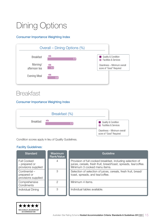# <span id="page-14-0"></span>Dining Options

#### Consumer Importance Weighting Index



### **Breakfast**

#### Consumer Importance Weighting Index

|                  | Breakfast (%) |     |                                                           |
|------------------|---------------|-----|-----------------------------------------------------------|
| <b>Breakfast</b> | n/a           | 7.7 | Quality & Condition<br><b>Facilities &amp; Services</b>   |
|                  |               |     | Cleanliness - Minimum overall<br>score of "Good" Required |

Condition scores apply in lieu of Quality Guidelines.

| <b>Standard</b>                                            | <b>Maximum</b><br><b>Rank/Value</b> | Guideline                                                                                                                                                     |
|------------------------------------------------------------|-------------------------------------|---------------------------------------------------------------------------------------------------------------------------------------------------------------|
| <b>Full Cooked</b><br>- prepared or<br>provisions supplied |                                     | Provision of full cooked breakfast, including selection of<br>juices, cereals, fresh fruit, bread/toast, spreads, tea/coffee.<br>Minimum 3 cooked menu items. |
| Continental-<br>prepared or<br>provisions supplied         | З                                   | Selection of selection of juices, cereals, fresh fruit, bread/<br>toast, spreads, and tea/coffee.                                                             |
| Comprehensive<br>Condiments                                | 2                                   | Minimum 4 items.                                                                                                                                              |
| Individual Dining                                          | 3                                   | Individual tables available.                                                                                                                                  |

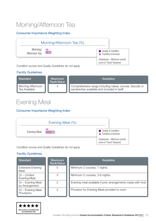## Morning/Afternoon Tea

#### Consumer Importance Weighting Index



#### Facility Guidelines:

| Standard                           | Maximum<br>Rank/Value | Guideline                                                                                                |
|------------------------------------|-----------------------|----------------------------------------------------------------------------------------------------------|
| Morning Afternoon<br>Tea Available | 4                     | Comprehensive range including cakes, scones, biscuits or<br>sandwiches available and included in tariff. |

### Evening Meal

#### Consumer Importance Weighting Index



Condition scores and Quality Guidelines do not apply.

| <b>Standard</b>                       | <b>Maximum</b><br>Rank/Value | Guideline                                                   |
|---------------------------------------|------------------------------|-------------------------------------------------------------|
| <b>Extensive Evening</b><br>Meal      | 5                            | Minimum 2 courses, 7 nights.                                |
| $Or$ – Limited<br><b>Evening Meal</b> | З                            | Minimum 2 courses, 3-6 nights.                              |
| Or - Evening Meal<br>by Arrangement   | 2                            | Evening meal available if prior arrangements made with host |
| Or - Evening Meal<br>Provisions       | $\mathcal{P}$                | Provision for Evening Meal provided to room                 |

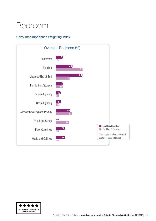# <span id="page-16-0"></span>Bedroom

#### Consumer Importance Weighting Index



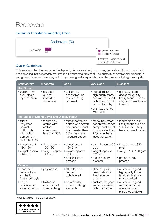### **Bedcovers**

#### Consumer Importance Weighting Index



#### Quality Guidelines:

This area includes: the bed cover: bedspread; decorative sheet; quilt cover; decorative pillows/throws; bed base covering (not necessarily required in full bedspread provided). The durability of commercial products is recognised, however these may not always meet guest's expectations for the luxury market eg down quilts.

| <b>Satisfactory</b>                                                                              | <b>Moderate</b>                                                       | Good                                                                                                                     | <b>Very Good</b>                                                                                                                 | <b>Excellent</b>                                                                                       |
|--------------------------------------------------------------------------------------------------|-----------------------------------------------------------------------|--------------------------------------------------------------------------------------------------------------------------|----------------------------------------------------------------------------------------------------------------------------------|--------------------------------------------------------------------------------------------------------|
| <b>Bed Spread</b>                                                                                |                                                                       |                                                                                                                          |                                                                                                                                  |                                                                                                        |
| • basic throw<br>over, single<br>layer of fabric                                                 | • standard<br>quilted<br>reversible<br>throw over                     | • quilted, eg<br>channelled; or<br>throw over eg<br>jacquard                                                             | • quilted tailored-<br>high quality fabric<br>such as silk blend,<br>high thread count<br>poly cotton mix;<br>• or throw over eg | • quilted custom<br>designed, quality<br>luxury fabric such as<br>silk, high thread count<br>fine cott |
|                                                                                                  |                                                                       |                                                                                                                          | Matelassé                                                                                                                        |                                                                                                        |
|                                                                                                  | Top Sheet or Doona Cover and Display Pillow                           |                                                                                                                          |                                                                                                                                  |                                                                                                        |
| • fabric:<br>Polyester;<br>polyester/<br>cotton mix<br>with cotton<br>component<br>less than 50% | • fabric: poly<br>cotton with<br>cotton<br>component<br>less than 50% | • fabric: polyester/<br>cotton with cotton<br>component equal<br>to or greater than<br>50%, may have<br>jacquard pattern | • fabric: polyester/<br>cotton with cotton<br>component equal<br>to or greater than<br>75%; may have<br>jacquard pattern         | • fabric: high quality<br>luxury fabric such as<br>100% cotton. May<br>have jacquard pattern           |
| • thread count:<br>120-180<br>• weight: approx.<br>110gsm                                        | • thread count:<br>120-180<br>• weight: approx.<br>$125$ gsm          | • thread count:<br>180-240<br>• weight: approx.<br>165 gsm<br>• professionally<br>pressed                                | • thread count: 250<br>plus<br>• weight: approx<br>170gsm<br>• professionally<br>pressed                                         | • thread count: 330<br>plus<br>• weight: 175-190 gsm<br>• professionally<br>pressed                    |
| Valance                                                                                          |                                                                       |                                                                                                                          |                                                                                                                                  |                                                                                                        |
| • uncovered<br>base or basic<br>synthetic<br>'gathered' style                                    | • poly cotton                                                         | · fitted tailo ed;<br>factory<br>upholstered                                                                             | • fitted of qualit<br>heavy fabric or<br>lined, maybe<br>quilted                                                                 | • custom designed -<br>high quality luxury<br>fabric such as silk,<br>maybe quilted                    |
| $\bullet$ no co-<br>ordination of<br>style or design                                             | · limited co-<br>ordination of<br>style or design                     | • co-ordinated<br>style and design<br>elements                                                                           | • custom designed<br>and co-ordinated<br>with room style                                                                         | · custom designed<br>with obvious use<br>of elements and<br>principles of design                       |

Facility Guidelines do not apply.

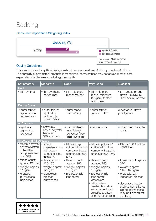### Bedding

#### Consumer Importance Weighting Index



#### Quality Guidelines:

This area includes the quilt/blankets, sheets, pillowcases, mattress & pillow protectors & pillows. The durability of commercial products is recognised, however these may not always meet guest's expectations for the luxury market eg down quilts.

| <b>Satisfactory</b>                                                                    | Moderate                                                                               | Good                                                                                   | <b>Very Good</b>                                                                                                                                                                         | <b>Excellent</b>                                                                                                                                                                       |
|----------------------------------------------------------------------------------------|----------------------------------------------------------------------------------------|----------------------------------------------------------------------------------------|------------------------------------------------------------------------------------------------------------------------------------------------------------------------------------------|----------------------------------------------------------------------------------------------------------------------------------------------------------------------------------------|
| Quilt                                                                                  |                                                                                        |                                                                                        |                                                                                                                                                                                          |                                                                                                                                                                                        |
| $\bullet$ fill – syntheti                                                              | $\bullet$ fill – synthetic<br>cotton mix                                               | $\bullet$ fill – mic ofibe<br>blend; feather                                           | $\bullet$ fill – mic ofibe<br>blend, minimum<br>350gsm; feather<br>and down                                                                                                              | $\bullet$ fill – goose or duc<br>$down$ – minimum<br>90% down; or wool                                                                                                                 |
| <b>Doona Cover</b>                                                                     |                                                                                        |                                                                                        |                                                                                                                                                                                          |                                                                                                                                                                                        |
| • outer fabric:<br>spun or non<br>woven fabric                                         | • outer fabric:<br>synthetic/<br>cotton mix<br>woven fabric                            | • outer fabric:<br>cotton/poly                                                         | • outer fabric: -<br>japara cotton                                                                                                                                                       | outer fabric: down<br>proof japara                                                                                                                                                     |
| or Blankets                                                                            |                                                                                        |                                                                                        |                                                                                                                                                                                          |                                                                                                                                                                                        |
| • synthetic<br>eg acrylic,<br>polyester                                                | • cotton mix<br>acrylic, polyester<br>fleece (mi<br>370gsm), velour                    | • cotton blends,<br>wool blends,<br>polyester fleec<br>$(min 400$ gsm $)$              | · cotton, wool                                                                                                                                                                           | • wool; cashmere; fin<br>cotton                                                                                                                                                        |
| <b>Sheets and Pillowcases</b>                                                          |                                                                                        |                                                                                        |                                                                                                                                                                                          |                                                                                                                                                                                        |
| · fabrics: polyester;<br>polyester/cotton<br>with cotton<br>component less<br>than 50% | fabrics:<br>$\bullet$<br>polyester/cotton<br>with cotton<br>component less<br>than 50% | · fabrics: poly/<br>cotton with cotton<br>component equal<br>to or greater than<br>50% | · fabrics: polyester/<br>cotton with cotton<br>component equal to<br>or greater than 75%                                                                                                 | · fabrics: 100% cotton;<br>100% linen                                                                                                                                                  |
| • thread count:<br>approx. 120-170                                                     | • thread count:<br>120-170                                                             | • thread count:<br>approx. 180                                                         | • thread count:<br>approx. 250                                                                                                                                                           | • thread count: approx.<br>320                                                                                                                                                         |
| • weight: approx.<br>110gsm<br>• creased/<br>pillowcases<br>unpressed                  | • weight: approx.<br>$125$ gsm<br>· creaseless,<br>pressed<br>pillowcases              | • weight: approx.<br>165 gsm<br>• professionally<br>laundered                          | • weight: approx.<br>155gsm<br>· professionally<br>laundered/<br>creaseless<br>pillow case -<br>header, decorative<br>enhancement such<br>as cuffed and twin<br>stitching; or self flang | • weight: approx<br>145 - 155 gsm<br>• professionally<br>laundered/pressed<br>· decorative header<br>such as hem stitched,<br>piping, pillowcases<br>may be finished wit<br>self flang |

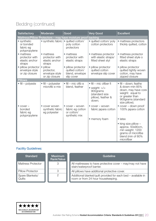### Bedding (continued)

| <b>Satisfactory</b>                                         | <b>Moderate</b>                                            | Good                                                                   | <b>Very Good</b>                                                                                          | <b>Excellent</b>                                                                                                                             |
|-------------------------------------------------------------|------------------------------------------------------------|------------------------------------------------------------------------|-----------------------------------------------------------------------------------------------------------|----------------------------------------------------------------------------------------------------------------------------------------------|
|                                                             |                                                            | Mattress/Pillow Protectors - may have moisture proof backing           |                                                                                                           |                                                                                                                                              |
| • synthetic<br>or bonded<br>fabric eg<br>polypropylene      | • synthetic fabric                                         | · quilted cotton/<br>poly cotton<br>protectors                         | · quilted cotton/ poly<br>cotton protectors                                                               | • mattress protectors<br>thickly quilted, cotton                                                                                             |
| • mattress<br>protector with<br>elastic anchor<br>straps    | • mattress<br>protector with<br>elastic anchor<br>straps   | • mattress<br>protector with<br>elastic straps                         | • mattress protector<br>with elastic straps/<br>fitted sheet styl                                         | • mattress protector<br>fitted sheet style o<br>elastic straps                                                                               |
| · pillow protector<br>envelope style<br>or zip closure      | • pillow<br>protector,<br>envelope style<br>or zip closure | · pillow protector<br>quilted cotton/<br>blend, envelope<br>slip cover | · pillow protector<br>quilted cotton<br>envelope slip cover                                               | · pillow protector<br>quilted tightly woven<br>cotton, may have<br>zipped closure                                                            |
| <b>Pillows</b>                                              |                                                            |                                                                        |                                                                                                           |                                                                                                                                              |
| $\bullet$ fill – polyeste                                   | $\bullet$ fill – polyester<br>microfib e mix               | $\bullet$ fill – mic ofib e<br>blend, feather                          | • fill – mic ofiber fi<br>• weight: $\gt$ /=<br>900grams<br>(standard size<br>pillow), feather &<br>down; | • fill - down; feathe<br>& down-min 85%<br>down, may have core<br>weight: equal to<br>or greater than<br>900grams (standard<br>size pillow); |
| $\bullet$ cover $-$<br>bonded<br>fabric eg<br>polypropylene | • cover woven<br>synthetic fabric<br>eg polyester          | • cover - woven<br>fabric eg cotton<br>or cotton/<br>synthetic mix     | • cover - woven<br>fabric japara cotton                                                                   | • cover – down proof<br>100% japara cotton                                                                                                   |
|                                                             |                                                            |                                                                        | • memory foam                                                                                             | $\bullet$ latex                                                                                                                              |
|                                                             |                                                            |                                                                        |                                                                                                           | $\bullet$ king size pillow -<br>approx. 50x90cm,<br>min weight: 1200<br>grams of microfibe<br>blend (min of 80%<br>microfiber                |

| <b>Standard</b>             | <b>Maximum</b><br>Rank/Value | Guideline                                                                                           |
|-----------------------------|------------------------------|-----------------------------------------------------------------------------------------------------|
| <b>Mattress Protector</b>   |                              | All mattresses to have protective cover - may/may not have<br>stain/waterproof barrier.             |
| <b>Pillow Protector</b>     |                              | All pillows have additional protective cover.                                                       |
| Spare Blankets/<br>  Quilts |                              | Additional blanket/quilt provided for each bed - available in<br>room or from 24 hour housekeeping. |

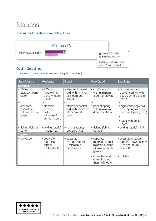### **Mattress**

#### Consumer Importance Weighting Index



#### Quality Guidelines:

This area includes the mattress (and topper if provided).

| <b>Satisfactory</b>                                     | Moderate                                                                  | Good                                                                 | <b>Very Good</b>                                                                   | <b>Excellent</b>                                                                                                        |
|---------------------------------------------------------|---------------------------------------------------------------------------|----------------------------------------------------------------------|------------------------------------------------------------------------------------|-------------------------------------------------------------------------------------------------------------------------|
| <b>Mattress</b>                                         |                                                                           |                                                                      |                                                                                    |                                                                                                                         |
| •100mm<br>(approx) foam<br><b>block</b>                 | •200mm<br>(approx) high<br>density foam<br>block                          | • standard bonnell<br>coil with minimum<br>of 3 comfort<br>layers    | • coil innerspring<br>with minimum<br>4 comfort layers                             | • high technology<br>pocket spring, with<br>deep comfort layers<br>(min 5)                                              |
| <b>or</b>                                               | <b>or</b>                                                                 | <b>or</b>                                                            | <b>or</b>                                                                          | <b>or</b>                                                                                                               |
| • standard<br>bonnell coil<br>with no comfort<br>layers | $\bullet$ standard<br>bonnell<br>coil with<br>minimum 2<br>comfort layers | • standard pocket<br>coil with minimum<br>of 3 comfort<br>layers     | • pocket spring,<br>with minimum<br>4 comfort layers                               | • high technology coil<br>innerspring with deep<br>comfort layers (min 5)<br><b>or</b><br>• latex with gel top<br>layer |
| • ticking (fabric)<br>cotton                            | • ticking (fabric)<br>- cotton twill.                                     | $\bullet$ ticking (fabric) –<br>cotton chintz                        | $\bullet$ ticking (fabric) –<br>damask                                             | $\bullet$ ticking (fabric) – knit                                                                                       |
| Topper                                                  |                                                                           |                                                                      |                                                                                    |                                                                                                                         |
| • no topper                                             | • separate<br>mattress<br>topper<br>-polyester fill                       | • separate<br>mattress topper<br>$-$ microfib $e/$<br>polyester fill | • separate<br>mattress topper -<br>microfib e blend<br>fill, minimum 95<br>gsm fil | • separate mattress<br>topper – down/feather<br>$-$ (minimum 40%<br>down) fil                                           |
|                                                         |                                                                           |                                                                      | • or feather and<br>$down$ fill $-$ les<br>than 40% down                           | • or latex                                                                                                              |

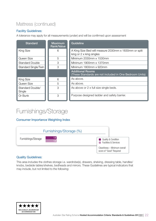### Mattress (continued)

#### Facility Guidelines:

A tolerance may apply for all measurements (under) and will be confirmed upon assessment

| <b>Standard</b>             | <b>Maximum</b><br><b>Rank/Value</b> | Guideline                                                                          |
|-----------------------------|-------------------------------------|------------------------------------------------------------------------------------|
| King Size                   | 6                                   | A King Size Bed will measure 2030mm x 1830mm or split<br>king or 2 x king singles  |
| Queen Size                  | 5                                   | Minimum 2030mm x 1530mm                                                            |
| <b>Standard Double</b>      | 3                                   | Minimum 1900mm x 1370mm                                                            |
| <b>Standard Single/Twin</b> | 3                                   | Minimum 1800mm x 920mm                                                             |
|                             |                                     | <b>Additional Rooms</b><br>(These Standards are not included in One Bedroom Units) |
| King Size                   | 6                                   | As above.                                                                          |
| Queen Size                  | 5                                   | As above.                                                                          |
| Standard Double/<br>Single  | 3                                   | As above or 2 x full size single beds.                                             |
| Or Bunk                     | 3                                   | Purpose designed ladder and safety barrier.                                        |

## Furnishings/Storage

#### Consumer Importance Weighting Index



#### Quality Guidelines:

This area includes the clothes storage i.e. wardrobe(s), drawers, shelving, dressing table, handles/ knobs, bedside tables/shelves, bedheads and mirrors. These Guidelines are typical indicators that may include, but not limited to the following:

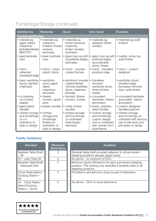### Furnishings/Storage (continued)

| Satisfactory                                                                       | <b>Moderate</b>                                                                            | Good                                                                                       | <b>Very Good</b>                                                                                              | <b>Excellent</b>                                                                                                  |
|------------------------------------------------------------------------------------|--------------------------------------------------------------------------------------------|--------------------------------------------------------------------------------------------|---------------------------------------------------------------------------------------------------------------|-------------------------------------------------------------------------------------------------------------------|
| <b>Furnishings/Storage</b>                                                         |                                                                                            |                                                                                            |                                                                                                               |                                                                                                                   |
| • material eg<br>aged/ dated<br>melamine/<br>laminates/timber<br>MDF, PVC          | · materials eg<br>melamine,<br>imitation timber<br>veneers,<br>laminates                   | · materials eg<br>timber plywood,<br>melamine,<br>timber veneers,<br>laminates             | · materials eg<br>designer timber<br>veneers                                                                  | · materials eg solid<br>timbers                                                                                   |
| • aged laminate<br>tops                                                            | · basic laminate<br>tops                                                                   | • glass tops eg with<br>unpolished edges,<br>laminates                                     | • glass tops eg with<br>polished edges<br>reconstituted<br>stone, timber                                      | • marble, stone top,<br>solid timber                                                                              |
| $\bullet$ mirror $-$<br>unframed,<br>unpolished edge                               | $\bullet$ mirror – basic<br>plastic frame                                                  | $\bullet$ mirror – powder<br>coated framew                                                 | · mirror - bevelled,<br>polished edge                                                                         | $\bullet$ mirror – custom<br>designed                                                                             |
| · basic wardrobe<br>doors, painted<br>chipboard                                    | • wardrobe<br>doors aged/<br>dated<br>melamine/<br>laminates                               | · aluminium/ powder<br>coated framed,<br>mirrored wardrobe<br>doors, melamine/<br>laminate | • frameless<br>mirrored<br>wardrobe doors,<br>timber/timber<br>veneer                                         | · wardrobe doors:<br>bevelled edge<br>frameless mirrored<br>door; solid timber                                    |
| • no backing,<br>no runners,<br>staples                                            | • drawer<br>runners, glued<br>joins                                                        | · backed, drawer<br>runners, screws                                                        | • concealed<br>hardware, interior<br>illumination                                                             | • concealed hardware,<br>automated interior<br>illumination.                                                      |
| • aged plastic<br>handles                                                          | • plastic handles                                                                          | • metal, timber<br>handles                                                                 | · brass, stainless<br>steel handles                                                                           | • custom designed<br>handles/openers                                                                              |
| · clothes storage<br>and furnishings<br>no co-<br>ordination of<br>style or design | • clothes<br>storage and<br>furnishings<br>limited co-<br>ordination of<br>style or design | • clothes storage<br>and furnishings<br>co-ordinated<br>style/design<br>elements           | • clothes storage<br>and furnishings<br>custom design<br>and co-ordinated<br>with overall room<br>style/theme | • clothes storage<br>and furnishings co-<br>ordinated with obvious<br>use of elements and<br>principles of design |

| <b>Standard</b>                                      | <b>Maximum</b><br>Rank/Value | Guideline                                                                                                                               |
|------------------------------------------------------|------------------------------|-----------------------------------------------------------------------------------------------------------------------------------------|
| Bedside Table/Shelf<br>$-$ All                       | З                            | Bedside table/shelf provided adjacent to all permanent<br>sleeping positions (except upper bunk).                                       |
| Or - Less Than All                                   | 2                            | As above $-$ to minimum of 50%.                                                                                                         |
| Bedside Table/Shelf<br>- Adequate Size               | $\mathcal{P}$                | Minimum space 900sqmm for each permanent sleeping<br>position. This ranking only awarded if bedside table to all<br>sleeping positions. |
| Clock Radio/Alarm/<br>Docking Station -<br>All       | 3                            | Provided in all bedrooms (may be part of television)                                                                                    |
| Or - Clock Radio/<br>Alarm/Docking<br>Station - Some | 2                            | As above – 50% or more bedrooms.                                                                                                        |

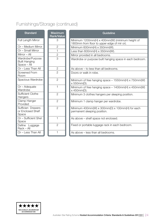### Furnishings/Storage (continued)

| <b>Standard</b>                                         | <b>Maximum</b><br><b>Rank/Value</b> | Guideline                                                                                      |
|---------------------------------------------------------|-------------------------------------|------------------------------------------------------------------------------------------------|
| Full Length Mirror                                      | 3                                   | Minimum 1200mm(H) x 400mm(W) (minimum height of<br>1800mm from floor to upper edge of mir or). |
| Or - Medium Mirror                                      | $\overline{2}$                      | Minimum 600mm(H) x 350mm(W).                                                                   |
| Or - Small Mirror                                       | 1                                   | Less than $600mm(H) \times 350mm(W)$ .                                                         |
| Mirror $-$ All                                          | $\overline{2}$                      | Mirror provided in all bedrooms.                                                               |
| Wardrobe/Purpose<br><b>Built Hanging</b><br>Space - All | 3                                   | Wardrobe or purpose built hanging space in each bedroom.                                       |
| Or - Less Than All                                      | $\mathbf{2}$                        | As above – to less than all bedrooms.                                                          |
| <b>Screened From</b><br>Room                            | $\overline{2}$                      | Doors or walk in robe.                                                                         |
| Spacious Wardrobe                                       | $\overline{2}$                      | Minimum of free hanging space $-1550$ mm(H) x 750mm(W)<br>x 550mm(D).                          |
| Or - Adequate<br>Wardrobe                               | $\mathbf 1$                         | Minimum of free hanging space $-1400$ mm(H) x 450mm(W)<br>x 450mm(D).                          |
| <b>Sufficient Clothe</b><br>Hangers                     | $\overline{2}$                      | Minimum 3 clothes hangers per sleeping position.                                               |
| Clamp Hanger<br>Provided                                | $\overline{2}$                      | Minimum 1 clamp hanger per wardrobe.                                                           |
| Sufficien Drawers<br>or Enclosed Shelf<br>Space         | $\overline{2}$                      | Minimum 400mm(W) x 300mm(D) x 100mm(H) for each<br>permanent sleeping position.                |
| Or - Sufficient Shel<br>Space                           | 1                                   | As above – shelf space not enclosed.                                                           |
| Define Luggage<br>Rack - All                            | $\overline{2}$                      | Fixed or portable luggage rack in each bedroom.                                                |
| Or - Less Than All                                      | 1                                   | As above – less than all bedrooms.                                                             |

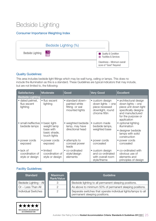## Bedside Lighting

#### Consumer Importance Weighting Index

|                  | Bedside Lighting (%)                             |                                                              |
|------------------|--------------------------------------------------|--------------------------------------------------------------|
| Bedside Lighting | $\begin{array}{c} 1.2 \\ \hline 0.8 \end{array}$ | Quality & Condition<br><b>Example:</b> Facilities & Services |
|                  |                                                  | Cleanliness - Minimum overall<br>score of "Good" Required    |

#### Quality Guidelines:

This area includes bedside light fittings which may be wall hung, ceiling or lamps. This does no include the illumination as this is a standard. These Guidelines are typical indicators that may include, but are not limited to, the following:

| <b>Satisfactory</b>                                     | <b>Moderate</b>                                 | Good                                                                  | <b>Very Good</b>                                                                              | <b>Excellent</b>                                                                                                                                      |
|---------------------------------------------------------|-------------------------------------------------|-----------------------------------------------------------------------|-----------------------------------------------------------------------------------------------|-------------------------------------------------------------------------------------------------------------------------------------------------------|
| <b>Bedside Lighting</b>                                 |                                                 |                                                                       |                                                                                               |                                                                                                                                                       |
| • dated pelmet,<br>fluo escent<br>lighting              | • fluo escent<br>lighting                       | • standard down-<br>painted white<br>fitting or wal<br>mounted lights | • custom design<br>down lights $-$ one<br>piece recessed<br>downlight, round<br>chrome fittin | • architectural design<br>down lights – one<br>piece unit down light<br>specifically designe<br>and manufactured<br>for the purpose or<br>application |
| • small ineffective<br>bedside lamps                    | basic light-<br>$\bullet$<br>weight lamp        | • weighted bedside<br>lamp, may have                                  | • custom made<br>bedside lamps,                                                               | • optional lighting<br>illumination                                                                                                                   |
|                                                         | base with<br>basic shade,<br>touch lights       | directional head                                                      | weighted base                                                                                 | • designer bedside<br>lamps with solid<br>construction                                                                                                |
| • power cords<br>exposed                                | power cords<br>exposed                          | • attempts to<br>conceal power<br>leads                               | • power cords<br>concealed                                                                    | • power cords<br>concealed                                                                                                                            |
| $\bullet$ lack of<br>coordination of<br>style or design | • limited<br>coordination of<br>style or design | • co-ordinated<br>style/design<br>elements                            | • custom design<br>and co-ordinated<br>with overall room<br>style/theme                       | • co-ordinated with<br>obvious use of<br>elements and<br>principles of design                                                                         |

| <b>Standard</b>                   | Maximum<br>Rank/Value | Guideline                                                                                      |
|-----------------------------------|-----------------------|------------------------------------------------------------------------------------------------|
| Bedside Lighting - All            |                       | Bedside lighting to all permanent sleeping positions.                                          |
| $\blacksquare$ Or – Less Than All |                       | As above to minimum 50% of permanent sleeping positions.                                       |
| <b>Individual Switches</b>        |                       | Separate switches that operate individual lights/lamps to all<br>permanent sleeping positions. |

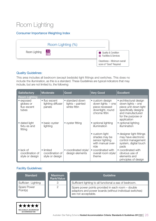## Room Lighting

#### Consumer Importance Weighting Index



#### Quality Guidelines:

This area includes all bedroom (except bedside) light fittings and switches. This does no include the illumination, as this is a standard. These Guidelines are typical indicators that may include, but are not limited to, the following:

| <b>Satisfactory</b>                                     | <b>Moderate</b>                                 | Good                                                | <b>Very Good</b>                                                                              | <b>Excellent</b>                                                                                                                                      |
|---------------------------------------------------------|-------------------------------------------------|-----------------------------------------------------|-----------------------------------------------------------------------------------------------|-------------------------------------------------------------------------------------------------------------------------------------------------------|
| <b>Room Lighting</b>                                    |                                                 |                                                     |                                                                                               |                                                                                                                                                       |
| • exposed<br>globes or<br>fluo escent<br>tubes          | • fluo escent<br>lighting diffuser<br>panels    | • standard down<br>lights – painted<br>white fittin | • custom design<br>down lights $-$ one<br>piece recessed<br>downlight, round<br>chrome fittin | • architectural design<br>down lights - one<br>piece unit down light<br>specifically designe<br>and manufactured<br>for the purpose or<br>application |
| • dated light<br>fixtu es and<br>fitting                | basic oyster<br>lighting                        | • oyster fitting                                    | • optional lighting<br>illumination                                                           | • optional lighting<br>illumination                                                                                                                   |
|                                                         |                                                 |                                                     | • custom light<br>shades may be<br>sensor lighting<br>with manual over-<br>ride               | • designer light fittings<br>may have electronic<br>control management<br>system, digital touch<br>pads                                               |
| $\bullet$ lack of<br>coordination of<br>style or design | • limited<br>coordination of<br>style or design | • coordinated style/<br>design elements             | • coordinated with<br>overall room style/<br>theme                                            | • coordinated with<br>obvious use of<br>elements and<br>principles of design                                                                          |

| <b>Standard</b>                                  | Maximum<br><b>Rank/Value</b> | Guideline                                                                                                                           |
|--------------------------------------------------|------------------------------|-------------------------------------------------------------------------------------------------------------------------------------|
| Sufficien Lighting                               | ↷                            | Sufficient lighting to all functional a eas of bedroom.                                                                             |
| Spare Power<br>$\overline{\phantom{a}}$ Point(s) | 2                            | Spare power points provided in each room - double<br>adaptors and power boards (without individual switches)<br>are not acceptable. |

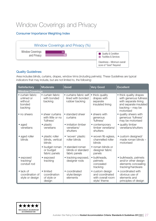## Window Coverings and Privacy

#### Consumer Importance Weighting Index



#### Quality Guidelines:

Area includes blinds, curtains, drapes, window trims (including pelmets). These Guidelines are typical indicators that may include, but are not limited to, the following:

| Satisfactory                                                   | Moderate                                            | Good                                                          | <b>Very Good</b>                                                        | <b>Excellent</b>                                                                                                                    |
|----------------------------------------------------------------|-----------------------------------------------------|---------------------------------------------------------------|-------------------------------------------------------------------------|-------------------------------------------------------------------------------------------------------------------------------------|
| <b>Window Coverings</b>                                        |                                                     |                                                               |                                                                         |                                                                                                                                     |
| • curtain fabric<br>unlined or<br>without<br>bonded<br>backing | • curtain fabric<br>with bonded<br>backing          | • curtains fabric self<br>lined with bonded<br>rubber backing | • thick quality<br>drapes with<br>separate<br>insulated lining          | • thick quality drapes<br>with generous fullness<br>with separate lining<br>and separate insulated<br>backing - may be<br>motorised |
| • no sheers                                                    | • sheer curtains<br>with little or no<br>'fullness' | • standard sheer<br>curtains                                  | • sheers with<br>generous<br>'fullness'                                 | • quality sheers with<br>generous 'fullness'<br>may be motorised                                                                    |
| $\bullet$ aged<br>venetians                                    | • plastic<br>venetians                              | • imitation timber<br>venetians/<br>shutters                  | • contemporary<br>timber venetians/<br>shutters                         | • quality timber<br>venetians/shutters                                                                                              |
| • aged roller<br>blinds                                        | · plastic roller<br>blinds, vertical<br>blinds      | • 'woven' plastic<br>roller blinds                            | • woven fib eglass,<br>channelled roller<br>blinds                      | • custom designed/<br>made roman blinds -<br>motorised                                                                              |
|                                                                | • budget roman<br>or budget<br>fabric panels        | • standard roman<br>blinds or standard<br>fabric panels       | • roman blinds or<br>designer fabric<br>panels                          |                                                                                                                                     |
| • exposed<br>tracking/<br>conduit rod                          | • exposed<br>tracking                               | • tracking exposed,<br>designer rods                          | · bulkheads,<br>pelmets<br>concealed<br>tracking                        | • bulkheads, pelmets<br>and/or other design<br>elements concealing<br>tracking/hardware                                             |
| $\bullet$ lack of<br>coordination of<br>style or design        | • limited<br>coordination<br>of style or<br>design  | • coordinated<br>style/design<br>elements                     | · custom design<br>and coordinated<br>with overall room<br>style/ theme | • coordinated with<br>obvious use of<br>elements and<br>principles of design                                                        |

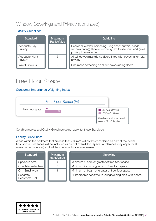### Window Coverings and Privacy (continued)

#### Facility Guidelines:

| <b>Standard</b>           | <b>Maximum</b><br>Rank/Value | Guideline                                                                                                                                      |
|---------------------------|------------------------------|------------------------------------------------------------------------------------------------------------------------------------------------|
| Adequate Day<br>Privacy   | 6                            | Bedroom window screening – (eg sheer curtain, blinds,<br>window tinting) allows in-room guest to see 'out' and gives<br>privacy from external. |
| Adequate Night<br>Privacy | 6                            | All windows/glass sliding doors fitted with covering for tota<br>privacy.                                                                      |
| <b>Insect Screens</b>     |                              | Fine mesh screening on all windows/sliding doors.                                                                                              |

### Free Floor Space

#### Consumer Importance Weighting Index



Condition scores and Quality Guidelines do not apply for these Standards.

#### Facility Guidelines:

Areas within the bedroom that are less than 500mm will not be considered as part of the overall floo space. Entrances will be included as part of overall floo space. A tolerance may apply for all measurements (under) and will be confirmed upon assessment

| <b>Standard</b>            | <b>Maximum</b><br>Rank/Value | Guideline                                               |
|----------------------------|------------------------------|---------------------------------------------------------|
| Spacious Area              |                              | Minimum 12sqm or greater of free floor space            |
| $\Box$ Or – Adequate Area  | ↷                            | Minimum 9sqm or greater of free floor space             |
| Or - Small Area            |                              | Minimum of 6sqm or greater of free floor space          |
| Separate<br>Bedrooms - All | 3                            | All bedrooms separate to lounge/dining area with doors. |

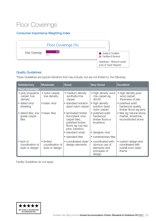## Floor Coverings

#### Consumer Importance Weighting Index



#### Quality Guidelines:

These Guidelines are typical indicators that may include, but are not limited to, the following:

| <b>Satisfactory</b>                                     | Moderate                                        | Good                                                                                                                                  | <b>Very Good</b>                                                                | <b>Excellent</b>                                                        |
|---------------------------------------------------------|-------------------------------------------------|---------------------------------------------------------------------------------------------------------------------------------------|---------------------------------------------------------------------------------|-------------------------------------------------------------------------|
| <b>Floor Coverings</b>                                  |                                                 |                                                                                                                                       |                                                                                 |                                                                         |
| • poly propylene<br>carpet, low<br>density              | • nylon carpet,<br>low density                  | • medium density<br>synthetic/mix<br>carpet                                                                                           | • high density wool<br>mix carpet eg<br>80/20                                   | • high density pure<br>wool carpet,<br>thickness of pile                |
| • dated vinyl<br>sheeting                               | • basic vinyl                                   | • standard solution<br>dyed nylon carpet                                                                                              | • high density<br>solution dyed<br>nylon carpet                                 | • polished solid<br>hardwood quality<br>timber floors eg jarra          |
| • dated tiles, low<br>grade carpet<br>tiles             | • basic tiles                                   | • laminated timber<br>floor/plank vinyl<br>carpet tiles,<br>polished timber<br>floors eg cyp ess<br>pine, bamboo<br>• standard vinyls | • polished solid<br>hardwood<br>timber floors e<br>brushbox<br>• designer vinyl | • tiles eg natural stone,<br>marble, limestone,<br>reconstituted stone  |
|                                                         |                                                 | • standard tiles                                                                                                                      |                                                                                 |                                                                         |
|                                                         |                                                 |                                                                                                                                       | • contemporary tiles                                                            |                                                                         |
| $\bullet$ lack of<br>coordination of<br>style or design | • limited<br>coordination of<br>style or design | • coordinated style/<br>design elements                                                                                               | • coordinated with<br>obvious use of<br>elements and<br>principles of<br>design | • custom design and<br>coordinated with<br>overall room style/<br>theme |

Facility Guidelines do not apply.

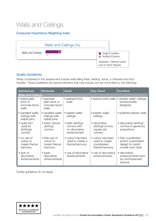## Walls and Ceilings

#### Consumer Importance Weighting Index



#### Quality Guidelines:

Areas considered in this assessment include wall/ceiling finish, skirting, doors, a chitraves and door handles. These Guidelines are typical indicators that may include, but are not limited to, the following:

| <b>Satisfactory</b>                                  | Moderate                                                 | Good                                                              | <b>Very Good</b>                                                    | <b>Excellent</b>                                                                  |
|------------------------------------------------------|----------------------------------------------------------|-------------------------------------------------------------------|---------------------------------------------------------------------|-----------------------------------------------------------------------------------|
| <b>Walls and Ceilings</b>                            |                                                          |                                                                   |                                                                     |                                                                                   |
| • dated plain<br>brick or<br>concrete block<br>walls | • exposed<br>plain brick or<br>concrete block<br>walls   | • painted brick<br>walls                                          | • feature brick walls                                               | plaster walls/ceilings,<br>$\bullet$<br>architecturally<br>designed               |
| · panelled walls/<br>ceilings with<br>visible joins  | · panelled walls/<br>ceilings with<br>visible joins      | · plaster walls/<br>ceilings                                      | • plaster walls/<br>ceilings                                        | • polished plaster walls                                                          |
| • quad trim<br>used for<br>skirtings/<br>cornice     | · basic narrow<br>skirting/<br>cornice                   | • plain skirting/<br>cornice with<br>no decorative<br>enhancement | • decorative<br>skirting/cornice,<br>square set<br>corners          | • decorative skirting/<br>cornice of generous<br>proportions                      |
| • no use of<br>colour to<br>create theme/<br>harmony | • little use of<br>colour to<br>create theme/<br>harmony | • colour has been<br>used to create a<br>theme/harmony            | • colour has been<br>used to create<br>coordinated<br>theme/harmony | • fully coordinated<br>and/or customised<br>design to match<br>overall room style |
| $\bullet$ lack of<br>decorative<br>enhancements      | $\bullet$ basic<br>decorative<br>enhancements            | • use of decorative<br>enhancements                               | • use of decorative<br>enhancements                                 | • decorative<br>enhancements such<br>as commissioned<br>artwork                   |

Facility guidelines do not apply.

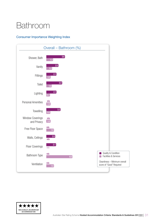# <span id="page-30-0"></span>Bathroom

#### Consumer Importance Weighting Index



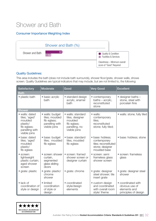### Shower and Bath

#### Consumer Importance Weighting Index



#### Quality Guidelines:

This area includes the bath (does not include bath surrounds), shower floor/grate, shower walls, showe screen. Quality Guidelines are typical indicators that may include, but are not limited to, the following:

| Satisfactory                                                                                             | <b>Moderate</b>                                                                     | Good                                                                                             | <b>Very Good</b>                                                                            | <b>Excellent</b>                                                             |
|----------------------------------------------------------------------------------------------------------|-------------------------------------------------------------------------------------|--------------------------------------------------------------------------------------------------|---------------------------------------------------------------------------------------------|------------------------------------------------------------------------------|
| <b>Bath</b>                                                                                              |                                                                                     |                                                                                                  |                                                                                             |                                                                              |
| • plastic bath                                                                                           | · basic acrylic<br>hath                                                             | • standard design<br>acrylic, enamel<br>hath                                                     | • contemporary<br>baths - acrylic,<br>reconstituted<br>stone                                | • designer baths -<br>stone, steel with<br>porcelain finis                   |
| <b>Shower</b>                                                                                            |                                                                                     |                                                                                                  |                                                                                             |                                                                              |
| • walls: dated<br>tiles; 'aged'<br>moulded<br>plastic/<br>fib eglass;<br>panelling with<br>visible joins | · walls: budget<br>tiles; moulded<br>fib eglass;<br>panelling with<br>visible joins | • walls: standard<br>tiles, designer<br>moulded<br>fib eglass;<br>panelling, no<br>visible joins | • walls:<br>contemporary<br>tiles;<br>reconstituted<br>stone; fully tiled;                  | · walls: stone; fully tiled                                                  |
| • base: dated<br>tiles; 'aged'<br>moulded<br>plastic/<br>fib eglass                                      | · base: budget<br>tiles; moulded<br>fib eglass                                      | • base: standard<br>tiles, moulded<br>fib eglass                                                 | · base: hobless:<br>contemporary<br>tiles; reconstituted<br>stone; designer<br>moulded base | • base: hobless; stone                                                       |
| • screen:<br>lightweight<br>plastic curtain;<br>aged shower<br>screen                                    | • screen: shower<br>curtain,<br>segmented<br>glass sliding<br>doors                 | • screen: framed<br>shower screen or<br>designer curtain                                         | • screen: semi<br>frameless glass<br>shower screen                                          | • screen: frameless<br>glass                                                 |
| • grate: plastic                                                                                         | • grate: plastic/<br>chrome<br>shower                                               | · grate: chrome                                                                                  | • grate: designer<br>steel shower; tile<br>insert grate                                     | · grate: designer steel<br>shower                                            |
| $\bullet$ lack of<br>coordination of<br>style or design                                                  | • limited<br>coordination<br>of style or<br>design                                  | • coordinated<br>style/design<br>elements                                                        | • custom design<br>and coordinated<br>with overall room<br>style/ theme                     | • coordinated with<br>obvious use of<br>elements and<br>principles of design |

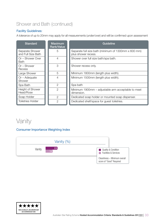### Shower and Bath (continued)

#### Facility Guidelines:

A tolerance of up to 20mm may apply for all measurements (under/over) and will be confirmed upon assessment

| <b>Standard</b>                       | <b>Maximum</b><br>Rank/Value | <b>Guideline</b>                                                            |
|---------------------------------------|------------------------------|-----------------------------------------------------------------------------|
| Separate Shower<br>and Full Size Bath | 5                            | Separate full size bath (minimum of 1300mm x 600 mm)<br>plus shower recess. |
| Or – Shower Over<br><b>Bath</b>       | 4                            | Shower over full size bath/spa bath.                                        |
| $Or - Shower$<br>Recess               | 3                            | Shower recess only.                                                         |
| Large Shower                          | 5                            | Minimum 1800mm (length plus width).                                         |
| $Or - Adequate$<br>Shower             | 4                            | Minimum 1500mm (length plus width).                                         |
| Spa Bath                              | $\overline{2}$               | Spa bath                                                                    |
| Height of Shower<br>Head/Rose         | $\mathcal{P}$                | Minimum 1900mm – adjustable arm acceptable to meet<br>dimension.            |
| Soap Holder                           | $\overline{2}$               | Dedicated soap holder or mounted soap dispenser.                            |
| <b>Toiletries Holder</b>              | $\overline{2}$               | Dedicated shelf/space for guest toiletries.                                 |

### Vanity

#### Consumer Importance Weighting Index



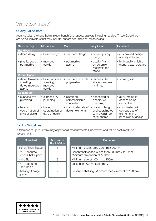### Vanity (continued)

#### Quality Guidelines:

Area includes: the hand basin, plugs, bench/shelf space, drawers including handles. These Guidelines are typical indicators that may include, but are not limited to, the following:

| <b>Satisfactory</b>                                       | <b>Moderate</b>                                     | Good                                       | <b>Very Good</b>                                                        | <b>Excellent</b>                                                             |  |
|-----------------------------------------------------------|-----------------------------------------------------|--------------------------------------------|-------------------------------------------------------------------------|------------------------------------------------------------------------------|--|
| <b>Handbasin</b>                                          |                                                     |                                            |                                                                         |                                                                              |  |
| • dated design                                            | • basic design                                      | • standard design                          | • contemporary<br>design                                                | • customised design<br>and style/theme                                       |  |
| • plastic, aged<br>polymarble                             | • moulded<br>acrylic                                | polymarble,<br>acrylic                     | • quality finis<br>eg ceramic,<br>reconstituted<br>stone                | • high quality finish e<br>stone, glass, ceramic                             |  |
| <b>Bench Space</b>                                        |                                                     |                                            |                                                                         |                                                                              |  |
| • dated laminate<br>sheeting,<br>dated moulded<br>acrylic | • basic laminate<br>sheeting,<br>moulded<br>acrylic | • standard laminate.<br>polymarble         | • reconstituted<br>stone, designer<br>laminate                          | • stone, glass                                                               |  |
| <b>Splashback</b>                                         |                                                     |                                            |                                                                         |                                                                              |  |
| • exposed pvc<br>plumbing                                 | • exposed PVC<br>plumbing                           | • plumbing<br>chrome finish o<br>concealed | • concealed or<br>decorative<br>plumbing                                | • all plumbing is<br>concealed or<br>decorative                              |  |
| $\bullet$ lack of<br>coordination of<br>style or design   | • limited<br>coordination of<br>style or design     | • coordinated style/<br>design elements    | • custom design<br>and coordinated<br>with overall room<br>style/ theme | • coordinated with<br>obvious use of<br>elements and<br>principles of design |  |

#### Facility Guidelines:

A tolerance of up to 20mm may apply for all measurements (under/over) and will be confirmed upo assessment.

| <b>Standard</b>                             | <b>Maximum</b><br>Rank/Value | Guideline                                                                    |
|---------------------------------------------|------------------------------|------------------------------------------------------------------------------|
| <b>Bench/Shelf Space</b>                    |                              | Minimum overall area 300mm x 200mm.                                          |
| $Or - Adequate$<br><b>Bench Shelf Space</b> | 2                            | Bench/shelf space is less than 300mm x 200mm.<br>Minimum dimension of 150mm. |
| Hand Basin                                  | З                            | Minimum size of 400mm x 250mm.                                               |
| $Or - Adequate$<br>Hand Basin               | 2                            | Less than 400mm x 250mm.                                                     |
| Shelving/Storage<br>Space                   | $\mathcal{P}$                | Separate shelving, Minimum measurement of 150mm.                             |

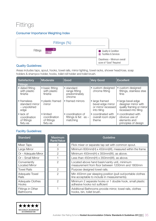## Fittings

#### Consumer Importance Weighting Index



#### Quality Guidelines:

Areas includes taps, spout, hooks, towel rails, mirror lighting, towel racks, shower head/rose, soap holders & shampoo holder, hooks, toilet roll holder and toilet brush.

| Satisfactory                                                 | Moderate                                             | Good                                                    | <b>Very Good</b>                                                         | <b>Excellent</b>                                                                                |
|--------------------------------------------------------------|------------------------------------------------------|---------------------------------------------------------|--------------------------------------------------------------------------|-------------------------------------------------------------------------------------------------|
| <b>Fittings</b>                                              |                                                      |                                                         |                                                                          |                                                                                                 |
| • dated fitting<br>with plastic<br>finishe                   | • basic fitting<br>with plastic<br>finishe           | • standard<br>range fitting<br>predominately<br>chrome  | • custom designed<br>chrome fitting                                      | • custom designed<br>fittings, stainless stee<br>finis                                          |
| • frameless<br>standard mirror<br>- unpolished<br>edge       | • plastic framed<br>mirror                           | • framed mirrors                                        | • large framed<br>bevel edge mirror<br>or mirror recessed<br>into tiling | • large bevel edge<br>designer mirror with<br>quality framing or mirror<br>recessed into tiling |
| $\bullet$ lack of<br>coordination<br>of fittings<br>fixtu es | • limited<br>coordination<br>of fittings<br>fixtu es | • coordination of<br>fittings & fixt $es -$<br>matching | • coordinated with<br>overall room style/<br>theme                       | • coordinated with<br>obvious use of<br>elements and<br>principles of design                    |

| <b>Standard</b>                       | <b>Maximum</b><br><b>Rank/Value</b> | Guideline                                                                                                  |
|---------------------------------------|-------------------------------------|------------------------------------------------------------------------------------------------------------|
| Mixer Taps                            | 2                                   | Flick mixer or separate tap set with common spout.                                                         |
| Large Mirror                          | 3                                   | Minimum 600mm(H) x 450mm(W), measured within the frame.                                                    |
| Or - Adequate Mirror                  | 2                                   | Minimum 450mm(H) x 350mm(W), as above.                                                                     |
| Or - Small Mirror                     |                                     | Less than $450mm(H) \times 350mm(W)$ , as above.                                                           |
| Conveniently<br><b>Located Mirror</b> | $\overline{2}$                      | Located above hand basin/vanity unit, minimum<br>measurement from floor between 1200mm and 1800mm          |
| <b>Towel Rails</b>                    | $\mathcal{P}$                       | Purpose designed towel rails.                                                                              |
| Adequate Towel<br>Rails               | $\mathcal{P}$                       | Min 450mm per sleeping position (pull out/portable clothes<br>line acceptable to include in measurements). |
| Adequate Clothes<br>Hooks             | 2                                   | Minimum 2 separate hooks or 1 double hook, small plastic<br>adhesive hooks not sufficient                  |
| Fittings in Other<br><b>Bathrooms</b> |                                     | Additional Bathrooms provide mirror, towel rails, clothes<br>hooks, bin, toilet brush.                     |

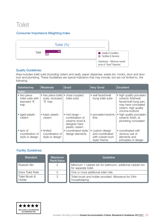### **Toilet**

#### Consumer Importance Weighting Index



#### Quality Guidelines:

Area includes toilet suite (including cistern and seat), paper dispenser, waste bin, hooks, door and door lock and plumbing. These Guidelines are typical indicators that may include, but are not limited to, the following:

| <b>Satisfactory</b>                                     | Moderate                                          | Good                                                                                            | <b>Very Good</b>                                                        | <b>Excellent</b>                                                                                                                        |
|---------------------------------------------------------|---------------------------------------------------|-------------------------------------------------------------------------------------------------|-------------------------------------------------------------------------|-----------------------------------------------------------------------------------------------------------------------------------------|
| <b>Toilet</b>                                           |                                                   |                                                                                                 |                                                                         |                                                                                                                                         |
| • two piece<br>toilet suite with<br>exposed 'S'<br>trap | • two piece toilet<br>suite, enclosed<br>'S' trap | • close coupled<br>toilet suite                                                                 | • wall faced/wall<br>hung toilet suite                                  | • high quality porcelain/<br>ceramic finishwal<br>faced/wall hung pan,<br>may have concealed<br>cistern; high quality<br>chrome buttons |
| • aged plastic<br>cistern                               | • basic plastic<br>cistern                        | $\bullet$ mid range $-$<br>combination of<br>ceramic bowl &<br>designer hard<br>plastic cistern | · porcelain/ceramic<br>finis                                            | high quality porcelain/<br>ceramic finish, al<br>plumbing concealed                                                                     |
| $\bullet$ lack of<br>coordination of<br>style or design | • limited<br>coordination of<br>style or design   | • coordinated style/<br>design elements                                                         | • custom design<br>and coordinated<br>with overall room<br>style/ theme | • coordinated with<br>obvious use of<br>elements and<br>principles of design                                                            |

| Standard                 | Maximum<br>Rank/Value | Guideline                                                                         |
|--------------------------|-----------------------|-----------------------------------------------------------------------------------|
| <b>Rubbish Bin</b>       | 2                     | Minimum 1 rubbish bin for bathroom, addtional rubbish bin<br>for separate toilet. |
| Extra Toilet Rolls       | ∩                     | One or more additional toilet rolls.                                              |
| Toilet Brush &<br>Holder | 2                     | Toilet brush and holder provided. Allowance for 24hr<br>housekeeping.             |

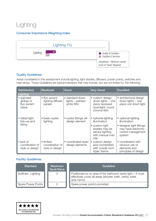## Lighting

#### Consumer Importance Weighting Index



#### Quality Guidelines:

Areas considered in this assessment include lighting, light shades, diffusers, power points, switches and heat lamps. These Guidelines are typical indicators that may include, but are not limited to, the following:

| <b>Satisfactory</b>                                     | Moderate                                        | Good                                                | <b>Very Good</b>                                                                                               | <b>Excellent</b>                                                                                                        |
|---------------------------------------------------------|-------------------------------------------------|-----------------------------------------------------|----------------------------------------------------------------------------------------------------------------|-------------------------------------------------------------------------------------------------------------------------|
| Lighting                                                |                                                 |                                                     |                                                                                                                |                                                                                                                         |
| • exposed<br>globes or<br>fluo escent<br>tubes          | • fluo escent<br>lighting diffuser<br>panels    | • standard down<br>lights - painted<br>white fittin | • custom design<br>down lights - one<br>piece recessed<br>downlight, round<br>chrome fittin                    | • architectural design<br>down lights - one<br>piece unit down light                                                    |
| • dated light<br>fixtu es and<br>fitting                | • basic oyster<br>lighting                      | • oyster fittings wit<br>design element             | • optional lighting<br>illumination<br>• custom light<br>shades may be<br>sensor lighting<br>with manual over- | • optional lighting<br>illumination<br>• designer light fittings<br>may have electronic<br>control management<br>system |
| $\bullet$ lack of<br>coordination of<br>style or design | • limited<br>coordination of<br>style or design | • coordinated style/<br>design elements             | ride<br>• custom design<br>and coordinated<br>with overall room<br>style/ theme                                | • coordinated with<br>obvious use of<br>elements and<br>principles of design                                            |

| <b>Standard</b>    | <b>Maximum</b><br>Rank/Value | Guideline                                                                                                                                 |
|--------------------|------------------------------|-------------------------------------------------------------------------------------------------------------------------------------------|
| Sufficien Lighting | 3                            | Positioned so no area of the bathroom lacks light – it must<br>effectively cover all areas (shower, bath, vanity, toilet,<br>and mirror). |
| Spare Power Points |                              | Spare power point/s provided.                                                                                                             |

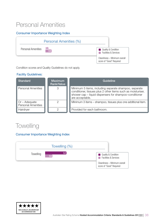### Personal Amenities

#### Consumer Importance Weighting Index



Condition scores and Quality Guidelines do not apply.

#### Facility Guidelines:

| <b>Standard</b>                                   | <b>Maximum</b><br><b>Rank/Value</b> | Guideline                                                                                                                                                                                          |
|---------------------------------------------------|-------------------------------------|----------------------------------------------------------------------------------------------------------------------------------------------------------------------------------------------------|
| <b>Personal Amenities</b>                         | 3                                   | Minimum 5 items, including separate shampoo, separate<br>conditioner, tissues plus 2 other items such as moisturiser,<br>shower cap - liquid dispensers for shampoo-conditioner<br>are acceptable. |
| $\Box$ Or – Adequate<br><b>Personal Amenities</b> |                                     | Minimum 3 items - shampoo, tissues plus one additional item.                                                                                                                                       |
| Hairdryer                                         |                                     | Provided for each bathroom.                                                                                                                                                                        |

### **Towelling**

#### Consumer Importance Weighting Index



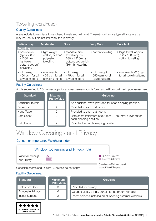### Towelling (continued)

#### Quality Guidelines:

Areas include towels, face towels, hand towels and bath mat. These Guidelines are typical indicators that may include, but are not limited to, the following:

| <b>Satisfactory</b>                                                                      | Moderate                                                    | Good                                                                                            | <b>Very Good</b>                                    | <b>Excellent</b>                                             |
|------------------------------------------------------------------------------------------|-------------------------------------------------------------|-------------------------------------------------------------------------------------------------|-----------------------------------------------------|--------------------------------------------------------------|
| <b>Towelling</b>                                                                         |                                                             |                                                                                                 |                                                     |                                                              |
| • basic towel<br>(approx 600<br>x1300mm)<br>lightweight<br>cotton; cotton/<br>polyester, | • light weight<br>cotton, cotton/<br>polyester<br>towelling | • standard size<br>towel (approx<br>680 x 1320mm)<br>cotton; cotton rich<br>$(86/14)$ towelling | • cotton towelling                                  | • large towel (approx)<br>750 x 1500mm),<br>cotton towelling |
| • min. weight<br>400 gsm for all<br>towelling items                                      | • min. weight<br>425 gsm for all<br>towelling items         | • min. weight<br>475gsm for all<br>towelling items                                              | • min. weight<br>550 gsm for all<br>towelling items | · min. weight 620 gsm<br>for all towelling items             |

#### Facility Guidelines:

A tolerance of up to 20mm may apply for all measurements (under/over) and will be confirmed upon assessment

| <b>Standard</b>          | <b>Maximum</b><br><b>Rank/Value</b> | Guideline                                                                      |
|--------------------------|-------------------------------------|--------------------------------------------------------------------------------|
| <b>Additional Towels</b> |                                     | An additional towel provided for each sleeping position.                       |
| Face Cloth               | റ                                   | Provided to each bathroom.                                                     |
| <b>Hand Towel</b>        | ◯                                   | Provided to each bathroom.                                                     |
| <b>Bath Sheet</b>        | $\mathcal{P}$                       | Bath sheet (minimum of 800mm x 1600mm) provided for<br>each sleeping position. |
| <b>Bath Robe</b>         | ◯                                   | Provid ed for each sleeping position.                                          |

### Window Coverings and Privacy

#### Consumer Importance Weighting Index

#### Window Coverings and Privacy (%)

Window Coverings and Privacy

n/a  $\boxed{0.8}$ 

Condition scores and Quality Guidelines do not apply.

#### Facility Guidelines:

\*\*\*\*\* OFFICIALLY ACCREDITED **ACCOMMODATION** 

| <b>Standard</b>         | <b>Maximum</b><br>Rank/Value | Guideline                                                |
|-------------------------|------------------------------|----------------------------------------------------------|
| <b>Bathroom Door</b>    | 3                            | Provided for privacy.                                    |
| <b>Adequate Privacy</b> | 6                            | Opaque glass, blinds, curtain for bathroom window.       |
| <b>Insect Screens</b>   |                              | Insect screens installed on all opening external windows |



**Quality & Condition Facilities & Services** 

Cleanliness – Minimum overall score of "Good" Required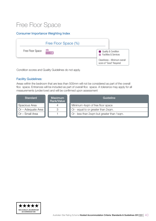## Free Floor Space

#### Consumer Importance Weighting Index



Condition scores and Quality Guidelines do not apply.

#### Facility Guidelines:

Areas within the bedroom that are less than 500mm will not be considered as part of the overall floo space. Entrances will be included as part of overall floo space. A tolerance may apply for all measurements (under/over) and will be confirmed upon assessment

| <b>Standard</b>           | <b>Maximum</b><br>Rank/Value | Guideline                                  |
|---------------------------|------------------------------|--------------------------------------------|
| Spacious Area             |                              | Minimum 4sqm of free floor space           |
| $\Box$ Or – Adequate Area |                              | Or - equal to or greater than 2sqm.        |
| $\Box$ Or – Small Area    |                              | Or - less than 2sqm but greater than 1sqm. |

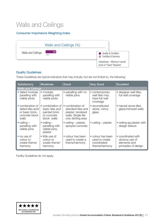## Walls and Ceilings

#### Consumer Importance Weighting Index



#### Quality Guidelines:

These Guidelines are typical indicators that may include, but are not limited to, the following:

| <b>Satisfactory</b>                                                                | Moderate                                                                                      | Good                                                                                                   | <b>Very Good</b>                                                    | <b>Excellent</b>                                                             |
|------------------------------------------------------------------------------------|-----------------------------------------------------------------------------------------------|--------------------------------------------------------------------------------------------------------|---------------------------------------------------------------------|------------------------------------------------------------------------------|
| <b>Walls and Ceilings</b>                                                          |                                                                                               |                                                                                                        |                                                                     |                                                                              |
| · dated modular,<br>panelling with<br>visible joints                               | modular,<br>$\bullet$<br>panelling with<br>visible joints                                     | • panelling with no<br>visible joins                                                                   | • contemporary<br>wall tiles may<br>have full wall<br>coverage      | • designer wall tiles,<br>full wall coverage                                 |
| • combination of<br>dated tiles and/<br>or basic brick,<br>concrete block<br>walls | combination of<br>$\bullet$<br>basic tiles and<br>painted brick<br>or concrete<br>block walls | • combination of<br>standard tiles and<br>plaster/rendered<br>walls. Single tile<br>only skirting area | • reconstituted<br>stone, mirror,<br>glass                          | • natural stone tiles,<br>glass/mirrored walls                               |
| $\bullet$ ceiling $-$<br>panelling with<br>visible joins                           | $\bullet$ ceiling $-$<br>panelling with<br>visible joins,<br>plaster                          | • ceiling $-$ plaster,<br>sprayed concrete                                                             | $\bullet$ ceiling – plaster                                         | • ceiling eg plaster with<br>design feature                                  |
| • no use of<br>colour to<br>create theme/<br>harmony                               | • little use of<br>colour to<br>create theme/<br>harmony                                      | • colour has been<br>used to create a<br>theme/harmony                                                 | • colour has been<br>used to create<br>coordinated<br>theme/harmony | • coordinated with<br>obvious use of<br>elements and<br>principles of design |

Facility Guidelines do not apply.

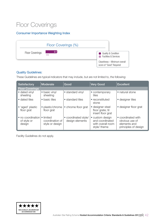### Floor Coverings

#### Consumer Importance Weighting Index



#### Quality Guidelines:

These Guidelines are typical indicators that may include, but are not limited to, the following:

| <b>Satisfactory</b>                        | Moderate                                        | Good                                    | <b>Very Good</b>                                                        | <b>Excellent</b>                                                             |
|--------------------------------------------|-------------------------------------------------|-----------------------------------------|-------------------------------------------------------------------------|------------------------------------------------------------------------------|
| <b>Floor Coverings</b>                     |                                                 |                                         |                                                                         |                                                                              |
| • dated vinyl<br>sheeting                  | • basic vinyl<br>sheeting                       | • standard vinyl                        | • contemporary<br>tiles                                                 | • natural stone                                                              |
| • dated tiles                              | • basic tiles                                   | • standard tiles                        | • reconstituted<br>stone                                                | • designer tiles                                                             |
| • 'aged' plastic<br>floor grat             | • plastic/chrome<br>floor grat                  | • chrome floor grat                     | • designer steel<br>floor grate; til<br>insert floor grat               | • designer floor grat                                                        |
| • no coordination<br>of style or<br>design | • limited<br>coordination of<br>style or design | • coordinated style/<br>design elements | • custom design<br>and coordinated<br>with overall room<br>style/ theme | • coordinated with<br>obvious use of<br>elements and<br>principles of design |

Facility Guidelines do not apply.

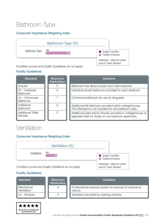## Bathroom Type

#### Consumer Importance Weighting Index



Condition scores and Quality Guidelines do not apply.

#### Facility Guidelines:

| <b>Standard</b>                    | Maximum<br>Rank/Value | Guideline                                                                                                            |
|------------------------------------|-----------------------|----------------------------------------------------------------------------------------------------------------------|
| Ensuite                            | 5                     | Bathroom has direct access from main bedroom.                                                                        |
| Or - Individual<br><b>Bathroom</b> | З                     | Individual private bathroom provided for each bedroom.                                                               |
| Or – Communal<br><b>Bathroom</b>   |                       | Communal bathroom for use by all guests.                                                                             |
| Additional<br><b>Bathroom</b>      | 5                     | Additional full bathroom provided within cottage/house.<br>This Standard is not included for one bedroom units.      |
| Additional Toilet/<br>Shower       | 2                     | Additional toilet and/or shower provided in cottage/house or<br>separate toilet for studio or one bedroom apartment. |

## Ventilation

#### Consumer Importance Weighting Index



#### Facility Guidelines:

\*\*\*\*\* OFFICIALLY ACCREDITED **ACCOMMODATION** 

| <b>Standard</b>           | Maximum<br>Rank/Value | Guideline                                                       |
|---------------------------|-----------------------|-----------------------------------------------------------------|
| Mechanical<br>Ventilation | 4                     | A mechanical exhaust system for removal of moisture &<br>odours |
| Or - Window               |                       | Ventilation provided by opening window.                         |

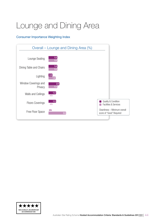# <span id="page-43-0"></span>Lounge and Dining Area

#### Consumer Importance Weighting Index



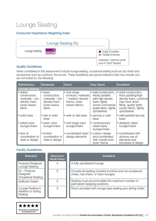## Lounge Seating

#### Consumer Importance Weighting Index



#### Quality Guidelines:

Areas considered in this assessment include lounge seating, occasional seating such as tub chairs and accessories such as cushions, throws etc. These Guidelines are typical indicators that may include, but are not limited to, the following:

| <b>Satisfactory</b>                                                                     | <b>Moderate</b>                                                                                 | Good                                                                                     | <b>Very Good</b>                                                                                                                          | <b>Excellent</b>                                                                                                                                          |
|-----------------------------------------------------------------------------------------|-------------------------------------------------------------------------------------------------|------------------------------------------------------------------------------------------|-------------------------------------------------------------------------------------------------------------------------------------------|-----------------------------------------------------------------------------------------------------------------------------------------------------------|
| <b>Lounge Seating</b>                                                                   |                                                                                                 |                                                                                          |                                                                                                                                           |                                                                                                                                                           |
| • dated<br>construction,<br>$materials - low$<br>density foam,<br>loose weave<br>fabric | $\bullet$ basic<br>construction,<br>$materials - low$<br>density foam,<br>loose weave<br>fabric | • mid-range<br>furniture, materials<br>- medium density<br>foams, close<br>weave fabrics | • solid construction,<br>thickly padded<br>with high density<br>foam, tightly<br>woven commercial<br>grade fabric, tightly<br>upholstered | • solid construction,<br>thick padding/high<br>density foam, cushions<br>may have down<br>filling, quality tightl<br>woven fabric, tightly<br>upholstered |
| • solid base                                                                            | • slat or solid<br>base                                                                         | • web or slat base                                                                       | • sprung or web<br>base                                                                                                                   | • well-padded sprung<br>base                                                                                                                              |
| • dated cane<br>lounge/chairs                                                           | • basic cane<br>lounge/chairs                                                                   | · mid range cane<br>lounge/chairs                                                        | • contemporary<br>rattan/cane<br>lounge/chairs                                                                                            | • designer rattan<br>lounge/chairs                                                                                                                        |
| $\bullet$ lack of<br>coordination of<br>style or design                                 | • limited<br>coordination of<br>style or design                                                 | • coordinated style/<br>design elements                                                  | • custom design<br>and coordinated<br>with overall room<br>style/ theme                                                                   | • coordinated with<br>obvious use of<br>elements and<br>principles of design                                                                              |

| <b>Standard</b>                                    | <b>Maximum</b><br>Rank/Value | Guideline                                                                                        |
|----------------------------------------------------|------------------------------|--------------------------------------------------------------------------------------------------|
| Purpose Designed<br>Lounge Seating                 | 4                            | A fully upholstered lounge.                                                                      |
| $Or$ – Purpose<br>Designed<br>Occasional Seating   | З                            | Occasional seating includes furniture such as occasional<br>chairs, tub chairs, or foam lounges. |
| <b>Sufficient Seatin</b>                           | 2                            | Seating must accommodate the maximum number of<br>permanent sleeping positions.                  |
| Lounge Seating in<br>Addition to Dining<br>Seating | 3                            | Room provided with lounge type seating plus dining chairs.                                       |

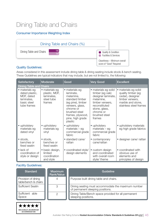## Dining Table and Chairs

#### Consumer Importance Weighting Index



#### Quality Guidelines:

Areas considered in this assessment include dining table & dining seating include stools & bench seating. These Guidelines are typical indicators that may include, but are not limited to, the following:

| <b>Satisfactory</b>                                                                        | <b>Moderate</b>                                                       | Good                                                                                                                                                                                 | <b>Very Good</b>                                                                                                                                                        | <b>Excellent</b>                                                                                                                 |
|--------------------------------------------------------------------------------------------|-----------------------------------------------------------------------|--------------------------------------------------------------------------------------------------------------------------------------------------------------------------------------|-------------------------------------------------------------------------------------------------------------------------------------------------------------------------|----------------------------------------------------------------------------------------------------------------------------------|
| <b>Dining Table and Chairs</b>                                                             |                                                                       |                                                                                                                                                                                      |                                                                                                                                                                         |                                                                                                                                  |
| • materials eg<br>dated plastic,<br>MDF, dated<br>laminates,<br>basic steel<br>tube frames | • materials eg<br>plastic, MDF,<br>laminates,<br>steel tube<br>frames | • materials eg<br>laminate,<br>melamine,<br>standard timber<br>(eg pine), timber<br>veneers, glass,<br>chrome or<br>brushed steel<br>frames, plywood,<br>pine, high grade<br>plastic | • materials eg solid<br>timber (eg oak)<br>designer laminate,<br>melamine,<br>timber veneers,<br>reconstituted<br>stone, glass,<br>chrome or<br>brushed steel<br>frames | • materials eg solid<br>quality timber (eg<br>cedar), designer<br>timber veneers,<br>marble and stone,<br>stainless steel frames |
| • upholstery<br>materials eg<br>dated vinyl                                                | upholstery<br>materials eg<br>vinyl                                   | upholstery<br>۰<br>materials - eg<br>commercial grade<br>fabric                                                                                                                      | • upholstery<br>$materials - eg$<br>commercial grade<br>fabric                                                                                                          | • upholstery materials<br>eg high grade fabrics                                                                                  |
| • stools,<br>benches or<br>fixed seatin                                                    | · stools.<br>benches or<br>fixed seatin                               | • standard cane/<br>rattan                                                                                                                                                           | • contemporary<br>cane/rattan                                                                                                                                           | · designer cane/ rattan                                                                                                          |
| $\bullet$ lack of<br>coordination of<br>style or design                                    | • basic design,<br>limited<br>coordination<br>and style               | • coordinated style/<br>design elements                                                                                                                                              | • custom design<br>and coordinated<br>with overall room<br>style/ theme                                                                                                 | • coordinated with<br>obvious use of<br>elements and<br>principles of design                                                     |

| <b>Standard</b>                             | <b>Maximum</b><br>Rank/Value | Guideline                                                                              |
|---------------------------------------------|------------------------------|----------------------------------------------------------------------------------------|
| Provision of dining<br>table/bench & chairs |                              | Purpose built dining table and chairs.                                                 |
| <b>Sufficient Seatin</b>                    | 3                            | Dining seating must accommodate the maximum number<br>of permanent sleeping positions. |
| Sufficient able<br>Space                    | ◯                            | Dining Table/Bench space provided for all permanent<br>sleeping positions.             |

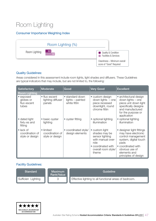## Room Lighting

#### Consumer Importance Weighting Index



#### Quality Guidelines:

Areas considered in this assessment include room lights, light shades and diffusers. These Guidelines are typical indicators that may include, but are not limited to, the following:

| <b>Satisfactory</b>                                     | Moderate                                        | Good                                                | <b>Very Good</b>                                                                                                                      | <b>Excellent</b>                                                                                                                                                                        |
|---------------------------------------------------------|-------------------------------------------------|-----------------------------------------------------|---------------------------------------------------------------------------------------------------------------------------------------|-----------------------------------------------------------------------------------------------------------------------------------------------------------------------------------------|
| <b>Room Lighting</b>                                    |                                                 |                                                     |                                                                                                                                       |                                                                                                                                                                                         |
| • exposed<br>globes or<br>fluo escent<br>tubes          | • fluo escent<br>lighting diffuser<br>panels    | • standard down<br>lights - painted<br>white fittin | • custom design<br>down lights $-$ one<br>piece recessed<br>downlight, round<br>chrome fittin                                         | • architectural design<br>down lights – one<br>piece unit down light<br>specifically designe<br>and manufactured<br>for the purpose or<br>application                                   |
| • dated light<br>fixtu es and<br>fitting                | • basic oyster<br>lighting                      | • oyster fitting                                    | • optional lighting<br>illumination                                                                                                   | • optional lighting<br>illumination                                                                                                                                                     |
| $\bullet$ lack of<br>coordination of<br>style or design | • limited<br>coordination of<br>style or design | • coordinated style/<br>design elements             | • custom light<br>shades may be<br>sensor lighting<br>with manual over-<br>ride<br>• coordinated with<br>overall room style/<br>theme | • designer light fittings<br>may have electronic<br>control management<br>system, digital touch<br>pads<br>• coordinated with<br>obvious use of<br>elements and<br>principles of design |

| <b>Standard</b>    | Maximum<br>Rank/Value | Guideline                                              |
|--------------------|-----------------------|--------------------------------------------------------|
| Sufficien Lighting |                       | Effective lighting to all functional areas of bedroom. |

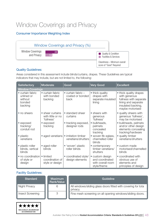### Window Coverings and Privacy

#### Consumer Importance Weighting Index



#### Quality Guidelines:

Areas considered in this assessment include blinds/curtains, drapes. These Guidelines are typical indicators that may include, but are not limited to, the following:

| <b>Satisfactory</b>                                            | <b>Moderate</b>                                     | Good                                                     | <b>Very Good</b>                                                       | <b>Excellent</b>                                                                                                                  |
|----------------------------------------------------------------|-----------------------------------------------------|----------------------------------------------------------|------------------------------------------------------------------------|-----------------------------------------------------------------------------------------------------------------------------------|
| <b>Window Coverings</b>                                        |                                                     |                                                          |                                                                        |                                                                                                                                   |
| • curtain fabric<br>unlined or<br>without<br>bonded<br>backing | • curtain fabric<br>with bonded<br>backing          | $\bullet$ curtain fabric $-$<br>coated or bonded<br>back | • thick quality<br>drapes with<br>separate insulated<br>lining         | • thick quality drapes<br>with generous<br>fullness with separate<br>lining and separate<br>insulated backing,<br>maybe motorised |
| • no sheers                                                    | • sheer curtains<br>with little or no<br>'fullness' | • standard sheer<br>curtains                             | • sheers with<br>generous<br>'fullness'                                | • quality sheers with<br>generous 'fullness',<br>may be motorised                                                                 |
| • exposed<br>tracking/<br>conduit rod                          | • exposed<br>tracking                               | • tracking exposed,<br>designer rods                     | · bulkheads,<br>pelmets<br>concealed<br>tracking                       | · bulkheads, pelmets<br>and/or other design<br>elements concealing<br>tracking/hardware                                           |
| • plastic<br>venetians                                         | • aged venetians                                    | • imitation timber<br>venetians/shutters                 | • woven fib eglass,<br>channelled roller<br>blinds                     | • quality timber<br>venetians/shutters                                                                                            |
| • plastic roller<br>blinds, vertical<br>blinds                 | • aged roller<br>blinds                             | • 'woven' plastic<br>roller blinds                       | • contemporary<br>timber venetians/<br>shutters                        | • custom made<br>motorised/channelled<br>blinds                                                                                   |
| • no coordination<br>of style or<br>design                     | • limited<br>coordination of<br>style or design     | • coordinated style/<br>design elements                  | • custom design<br>and coordinated<br>with overall room<br>style/theme | • coordinated with<br>obvious use of<br>elements and<br>principles of design                                                      |

| <b>Standard</b>         | <b>Maximum</b><br>Rank/Value | Guideline                                                                 |
|-------------------------|------------------------------|---------------------------------------------------------------------------|
| Night Privacy           | 6                            | All windows/sliding glass doors fitted with covering for tota<br>privacy. |
| <b>Insect Screening</b> | 3                            | Fine mesh screening on all opening windows/sliding doors.                 |

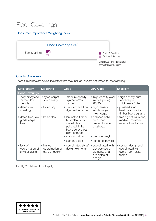## Floor Coverings

#### Consumer Importance Weighting Index



#### Quality Guidelines:

These Guidelines are typical indicators that may include, but are not limited to, the following:

| <b>Satisfactory</b>                                     | Moderate                                        | Good                                                                                                             | <b>Very Good</b>                                                                | <b>Excellent</b>                                                        |  |  |  |
|---------------------------------------------------------|-------------------------------------------------|------------------------------------------------------------------------------------------------------------------|---------------------------------------------------------------------------------|-------------------------------------------------------------------------|--|--|--|
| <b>Floor Coverings</b>                                  |                                                 |                                                                                                                  |                                                                                 |                                                                         |  |  |  |
| • poly propylene<br>carpet, low<br>density              | • nylon carpet,<br>low density                  | • medium density<br>synthetic/mix<br>carpet                                                                      | • high density wool<br>mix carpet eg<br>80/20                                   | • high density pure<br>wool carpet,<br>thickness of pile                |  |  |  |
| • dated vinyl<br>sheeting                               | • basic vinyl                                   | • standard solution<br>dyed nylon carpet                                                                         | • high density<br>solution dyed<br>nylon carpet                                 | • polished solid<br>hardwood quality<br>timber floors eg jarra          |  |  |  |
| • dated tiles, low<br>grade carpet<br>tiles             | • basic tiles                                   | • laminated timber<br>floor/plank vinyl<br>carpet tiles,<br>polished timber<br>floors eg cyp ess<br>pine, bamboo | • polished solid<br>hardwood<br>timber floors e<br>brushbox                     | • tiles eg natural stone,<br>marble, limestone,<br>reconstituted stone  |  |  |  |
|                                                         |                                                 | • standard vinyls                                                                                                | • designer vinyl                                                                |                                                                         |  |  |  |
|                                                         |                                                 | • standard tiles                                                                                                 | • contemporary tiles                                                            |                                                                         |  |  |  |
| $\bullet$ lack of<br>coordination of<br>style or design | • limited<br>coordination of<br>style or design | • coordinated style/<br>design elements                                                                          | • coordinated with<br>obvious use of<br>elements and<br>principles of<br>design | • custom design and<br>coordinated with<br>overall room style/<br>theme |  |  |  |

Facility Guidelines do not apply.

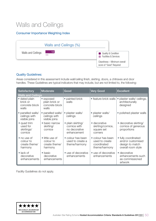## Walls and Ceilings

#### Consumer Importance Weighting Index



#### Quality Guidelines:

Areas considered in this assessment include wall/ceiling finish, skirting, doors, a chitraves and door handles. These Guidelines are typical indicators that may include, but are not limited to, the following:

| Satisfactory                                         | Moderate                                                 | Good                                                              | <b>Very Good</b>                                                    | <b>Excellent</b>                                                                  |  |
|------------------------------------------------------|----------------------------------------------------------|-------------------------------------------------------------------|---------------------------------------------------------------------|-----------------------------------------------------------------------------------|--|
| <b>Walls and Ceilings</b>                            |                                                          |                                                                   |                                                                     |                                                                                   |  |
| • dated plain<br>brick or<br>concrete block<br>walls | • exposed<br>plain brick or<br>concrete block<br>walls   | • painted brick<br>walls                                          | • feature brick walls                                               | plaster walls/ceilings,<br>$\bullet$<br>architecturally<br>designed               |  |
| • panelled walls/<br>ceilings with<br>visible joins  | • panelled walls/<br>ceilings with<br>visible joins      | · plaster walls/<br>ceilings                                      | • plaster walls/<br>ceilings                                        | • polished plaster walls                                                          |  |
| • quad trim<br>used for<br>skirtings/<br>cornice     | • basic narrow<br>skirting/<br>cornice                   | · plain skirting/<br>cornice with<br>no decorative<br>enhancement | • decorative<br>skirting/cornice,<br>square set<br>corners          | • decorative skirting/<br>cornice of generous<br>proportions                      |  |
| • no use of<br>colour to<br>create theme/<br>harmony | • little use of<br>colour to<br>create theme/<br>harmony | • colour has been<br>used to create a<br>theme/harmony            | • colour has been<br>used to create<br>coordinated<br>theme/harmony | • fully coordinated<br>and/or customised<br>design to match<br>overall room style |  |
| $\bullet$ lack of<br>decorative<br>enhancements      | $\bullet$ basic<br>decorative<br>enhancements            | • use of decorative<br>enhancements                               | • use of decorative<br>enhancements                                 | • decorative<br>enhancements such<br>as commissioned<br>artwork                   |  |

Facility Guidelines do not apply.

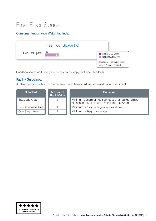### Free Floor Space

#### Consumer Importance Weighting Index

|                  | Free Floor Space (%) |                                                           |
|------------------|----------------------|-----------------------------------------------------------|
| Free Floor Space | n/a<br>२ म           | Quality & Condition<br><b>Facilities &amp; Services</b>   |
|                  |                      | Cleanliness - Minimum overall<br>score of "Good" Required |

Condition scores and Quality Guidelines do not apply for these Standards.

#### Facility Guidelines:

A tolerance may apply for all measurements (under) and will be confirmed upon assessment

| <b>Standard</b>           | Maximum<br>Rank/Value | Guideline                                                                                           |
|---------------------------|-----------------------|-----------------------------------------------------------------------------------------------------|
| <b>Spacious Area</b>      | b                     | Minimum 20sqm of free floor space for lounge, dining<br>kitchen, halls. Minimum dimensions - 500mm. |
| $\Box$ Or – Adequate Area |                       | Minimum of 12sqm or greater- as above.                                                              |
| $\Box$ Or – Small Area    |                       | Minimum of 9sqm or greater.                                                                         |

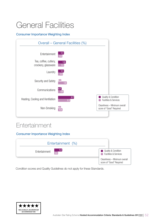# <span id="page-51-0"></span>General Facilities

#### Consumer Importance Weighting Index



### **Entertainment**

Consumer Importance Weighting Index

| Entertainment (%)        |                                                           |
|--------------------------|-----------------------------------------------------------|
| Entertainment <b>1.0</b> | Quality & Condition<br><b>Example 3</b> Services          |
|                          | Cleanliness - Minimum overall<br>score of "Good" Required |

Condition scores and Quality Guidelines do not apply for these Standards.

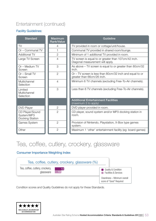### Entertainment (continued)

#### Facility Guidelines:

| <b>Standard</b>                                  | <b>Maximum</b><br><b>Rank/Value</b> | Guideline                                                                                |
|--------------------------------------------------|-------------------------------------|------------------------------------------------------------------------------------------|
| TV                                               | 4                                   | TV provided in room or cottage/unit/house.                                               |
| Or - Communal TV                                 |                                     | Communal TV provided in shared room/lounge.                                              |
| <b>Additional TV</b>                             | $\overline{2}$                      | Minimum of 1 additional TV provided in room.                                             |
| Large TV Screen                                  | 4                                   | TV screen is equal to or greater than 107cm/42 inch.<br>Diagonal measurement will apply. |
| Or - Medium TV<br>Screen                         | 3                                   | As above – TV screen is equal to or greater than 80cm/32<br>inch.                        |
| Or - Small TV<br>Screen                          | $\overline{2}$                      | Or – TV screen is less than 80cm/32 inch and equal to or<br>greater than 66cm/26 inch.   |
| Multichannel<br>Selection                        | $\overline{4}$                      | Minimum 6 TV channels (excluding Free-To-Air channels).                                  |
| Limited<br>Multichannel<br>Selection             | 3                                   | Less than 6 TV channels (excluding Free-To-Air channels).                                |
|                                                  |                                     | <b>Additional Entertainment Facilities</b><br>(maximum 3 to apply)                       |
| <b>DVD Player</b>                                | $\overline{2}$                      | DVD player provided in room.                                                             |
| CD Player/Sound<br>System/MP3<br>Docking Station | $\overline{2}$                      | CD player, sound system and/or MP3 docking station in<br>room.                           |
| Games System                                     | $\overline{2}$                      | Provision of Nintendo, Playstation, X-Box type games<br>system.                          |
| Other                                            | $\overline{2}$                      | Maximum 1 'other' entertainment facility (eg: board games)                               |

### Tea, coffee, cutlery, crockery, glassware

#### Consumer Importance Weighting Index



Condition scores and Quality Guidelines do not apply for these Standards.

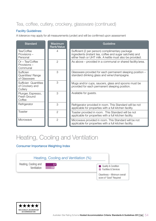### Tea, coffee, cutlery, crockery, glassware (continued)

#### Facility Guidelines:

A tolerance may apply for all measurements (under) and will be confirmed upon assessment

| <b>Standard</b>                                    | <b>Maximum</b><br>Rank/Value | Guideline                                                                                                                                                                |  |
|----------------------------------------------------|------------------------------|--------------------------------------------------------------------------------------------------------------------------------------------------------------------------|--|
| Tea/Coffee<br>Provisions -<br>Personal             | 4                            | Sufficient (2 per person) complimentary package<br>ingredients (instant tea, coffee and sugar satchels) and<br>either fresh or UHT milk. A kettle must also be provided. |  |
| Or - Tea/Coffee<br>Provisions -<br>Communal        | $\overline{2}$               | As above – provided in a communal or shared facility/area.                                                                                                               |  |
| Sufficien<br>Quantities/Range<br>of Glassware      | 3                            | Glassware provided for each permanent sleeping position -<br>standard drinking glass and wine/champagne.                                                                 |  |
| Sufficien Quantities<br>of Crockery and<br>Cutlery | 3                            | Mugs and/or cups, saucers, glass and spoons must be<br>provided for each permanent sleeping position.                                                                    |  |
| Plunger, Espresso,<br>Fresh Ground<br>Coffee       | 3                            | Available for guests.                                                                                                                                                    |  |
| Refrigerator                                       | 3                            | Refrigerator provided in room. This Standard will be not<br>applicable for properties with a full kitchen facility.                                                      |  |
| Toaster                                            | $\mathcal{P}$                | Toaster provided in room. This Standard will be not<br>applicable for properties with a full kitchen facility.                                                           |  |
| Microwave                                          | $\overline{2}$               | Microwave provided in room. This Standard will be not<br>applicable for properties with a full kitchen facility.                                                         |  |

## Heating, Cooling and Ventilation

#### Consumer Importance Weighting Index



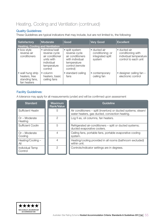### Heating, Cooling and Ventilation (continued)

#### Quality Guidelines:

These Guidelines are typical indicators that may include, but are not limited to, the following:

| Satisfactory                                                        | Moderate                                                                                                | Good                                                                                                                 | <b>Very Good</b>                                               | <b>Excellent</b>                                                                    |
|---------------------------------------------------------------------|---------------------------------------------------------------------------------------------------------|----------------------------------------------------------------------------------------------------------------------|----------------------------------------------------------------|-------------------------------------------------------------------------------------|
| <b>Heating, Cooling and Ventilation</b>                             |                                                                                                         |                                                                                                                      |                                                                |                                                                                     |
| • box style<br>reverse air<br>conditioners                          | • window/wall<br>reverse cycle<br>air conditioner<br>units with<br>individual<br>temperature<br>control | • split system<br>reverse cycle<br>air conditioners<br>with individual<br>temperature<br>control (remote<br>control) | • ducted air<br>conditioning; or<br>integrated split<br>system | • ducted air<br>conditioning with<br>individual temperature<br>control to each unit |
| • wall hung strip<br>heaters, free<br>standing fans,<br>fan heaters | $\bullet$ column<br>heaters, basic<br>ceiling fans                                                      | • standard ceiling<br>fans                                                                                           | • contemporary<br>ceiling fan                                  | • designer ceiling fan -<br>electronic control                                      |

#### Facility Guidelines:

A tolerance may apply for all measurements (under) and will be confirmed upon assessment

| <b>Standard</b>            | <b>Maximum</b><br><b>Rank/Value</b> | Guideline                                                                                                        |
|----------------------------|-------------------------------------|------------------------------------------------------------------------------------------------------------------|
| <b>Sufficient Heatin</b>   | 5                                   | Air conditioners – split (invertors) or ducted systems; steam/<br>water heaters, gas ducted, convection heating. |
| Or - Moderate<br>Heating   | 2                                   | Log fi es, oil columns, fan heaters.                                                                             |
| <b>Sufficient Coolin</b>   | 5                                   | Refrigerated air-conditioners – split or ducted systems;<br>ducted evaporative coolers.                          |
| Or – Moderate<br>Cooling   | 4                                   | Ceiling fans, portable fans, portable evaporative cooling<br>system.                                             |
| Heating/Cooling -<br>All   |                                     | Heating/cooling provided in all rooms (bathroom excluded)<br>within unit.                                        |
| Individual Temp<br>Control | っ                                   | Controls/indicator settings are in degrees.                                                                      |

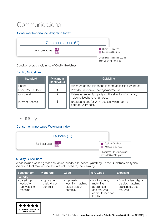## **Communications**

#### Consumer Importance Weighting Index



Condition scores apply in lieu of Quality Guidelines.

#### Facility Guidelines:

| <b>Standard</b>        | <b>Maximum</b><br>Rank/Value | Guideline                                                                                    |
|------------------------|------------------------------|----------------------------------------------------------------------------------------------|
| Phone                  |                              | Minimum of one telephone in room accessible 24 hours.                                        |
| Local Phone Book       |                              | Provided in-room or cottage/unit/house.                                                      |
| Compendium             | $\mathcal{P}$                | Extensive range of property and local visitor information,<br>including local phone numbers. |
| <b>Internet Access</b> | 3                            | Broadband and/or Wi Fi access within room or<br>cottage/unit/house.                          |

### **Laundry**

#### Consumer Importance Weighting Index



#### Quality Guidelines:

Areas include washing machine, dryer, laundry tub, bench, plumbing. These Guidelines are typical indicators that may include, but are not limited to, the following:

| Satisfactory                                         | Moderate                                  | Good                                                            | Very Good                                                                                   | <b>Excellent</b>                                                             |
|------------------------------------------------------|-------------------------------------------|-----------------------------------------------------------------|---------------------------------------------------------------------------------------------|------------------------------------------------------------------------------|
| Laundry                                              |                                           |                                                                 |                                                                                             |                                                                              |
| • dated top<br>loader/twin<br>tub washing<br>machine | • top loader,<br>basic dials/<br>controls | • top loader<br>washing machine,<br>digital display<br>controls | • front loaders,<br>matching<br>appliances,<br>eco features -<br>computerised top<br>loader | • front loaders, digital<br>display, matching<br>appliances, eco<br>features |

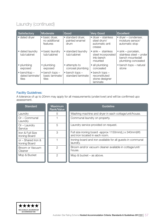### Laundry (continued)

| Satisfactory                                     | Moderate                                             | Good                                          | <b>Very Good</b>                                                          | <b>Excellent</b>                                                                                 |
|--------------------------------------------------|------------------------------------------------------|-----------------------------------------------|---------------------------------------------------------------------------|--------------------------------------------------------------------------------------------------|
| • dated dryer                                    | • basic dryer,<br>no additional<br>features          | • standard dryer,<br>painted enamel<br>drum   | $\bullet$ dryer – stainless<br>steel drum/<br>automatic anti<br>crease    | $\bullet$ dryer – condenser,<br>moisture sensor/<br>automatic stop                               |
| • dated laundry<br>tub/cabinet                   | • basic laundry<br>tub/cabinet                       | • standard laundry<br>tub/cabinet             | $\bullet$ sink – stainless<br>steel incorporated<br>into bench<br>mounted | $\bullet$ sink – porcelain,<br>stainless steel - under<br>bench mountedall<br>plumbing concealed |
| • plumbing<br>exposed                            | • plumbing<br>exposed                                | • attempts to<br>conceal plumbing             | • all plumbing<br>concealed                                               | • bench tops – natural<br>stone                                                                  |
| $\bullet$ benchtop -<br>dated laminate/<br>tiles | $\bullet$ bench tops $-$<br>basic laminate/<br>tiles | $\bullet$ bench tops $-$<br>standard laminate | $\bullet$ bench tops $-$<br>reconstituted<br>stone designer<br>laminate   |                                                                                                  |

#### Facility Guidelines:

A tolerance of up to 20mm may apply for all measurements (under/over) and will be confirmed upo assessment.

| <b>Standard</b>                     | <b>Maximum</b><br><b>Rank/Value</b> | Guideline                                                                              |
|-------------------------------------|-------------------------------------|----------------------------------------------------------------------------------------|
| Laundry                             | 5                                   | Washing machine and dryer in each cottage/unit/house.                                  |
| Or – Communal<br>Laundry            |                                     | Communal laundry on property.                                                          |
| $Or$ – Laundry<br>Service           | 5                                   | Laundry service provided on request.                                                   |
| Iron & Full Size<br>Ironing Board   | 3                                   | Full size ironing board -approx 1150mm(L) x 340mm(W)<br>and iron located in each room. |
| or – Shared Iron &<br>Ironing Board |                                     | Ironing board and iron available for all guests in communal<br>laundry.                |
| Broom or Vacuum<br>Cleaner          | $\mathcal{P}$                       | Broom and/or vacuum cleaner available in cottage/unit/<br>house.                       |
| Mop & Bucket                        | 2                                   | Mop $& bucket - as above.$                                                             |

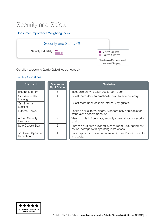### Security and Safety

#### Consumer Importance Weighting Index



Condition scores and Quality Guidelines do not apply.

| <b>Standard</b>                   | <b>Maximum</b><br><b>Rank/Value</b> | Guideline                                                                                                   |
|-----------------------------------|-------------------------------------|-------------------------------------------------------------------------------------------------------------|
| Electronic Entry                  | 5                                   | Electronic entry to each guest room door.                                                                   |
| Or – Automated<br>Locking         | 4                                   | Guest room door automatically locks to external entry.                                                      |
| Or – Internal<br>Locking          | 3                                   | Guest room door lockable internally by guests.                                                              |
| <b>External Locks</b>             | 3                                   | Locks on all external doors. Standard only applicable for<br>stand alone accommodation.                     |
| <b>Added Security</b><br>Features | 2                                   | Viewing hole in front door, security screen door or security<br>chain.                                      |
| Safe Deposit Box                  | 2                                   | Purpose built safe provided in each room, unit, apartment,<br>house, cottage (with operating instructions). |
| or - Safe Deposit at<br>Reception |                                     | Safe deposit box provided at reception and/or with host for<br>all guests.                                  |

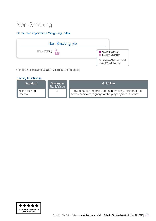## Non-Smoking

#### Consumer Importance Weighting Index



Condition scores and Quality Guidelines do not apply.

| Standard             | <b>Maximum</b><br>Rank/Value | Guideline                                                                                                    |
|----------------------|------------------------------|--------------------------------------------------------------------------------------------------------------|
| Non Smoking<br>Rooms | 4                            | 100% of guest's rooms to be non smoking, and must be<br>accompanied by signage at the property and in-rooms. |

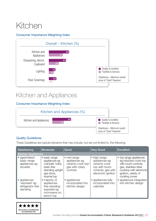# <span id="page-59-0"></span>Kitchen

#### Consumer Importance Weighting Index



### Kitchen and Appliances

#### Consumer Importance Weighting Index



#### Quality Guidelines:

These Guidelines are typical indicators that may include, but are not limited to, the following:

| <b>Satisfactory</b>                                           | Moderate                                                                                                         | Good                                                                             | <b>Very Good</b>                                                                                             | Excellent                                                                                                                                                           |
|---------------------------------------------------------------|------------------------------------------------------------------------------------------------------------------|----------------------------------------------------------------------------------|--------------------------------------------------------------------------------------------------------------|---------------------------------------------------------------------------------------------------------------------------------------------------------------------|
| <b>Kitchen Appliances</b>                                     |                                                                                                                  |                                                                                  |                                                                                                              |                                                                                                                                                                     |
| • aged/dated<br>basic range<br>appliances eg<br>stovette      | · basic range<br>appliances eg<br>coil/solid hobs;<br>basic free<br>standing upright<br>gas stove,<br>enamel top | • mid range<br>appliances eg<br>ceramic cook top/<br>gas with rotary<br>controls | • high range<br>appliances eg<br>ceramic cook<br>top with touch<br>controls; gas with<br>electronic ignition | • top range appliances<br>eg induction cook top<br>with touch controls;<br>gas, stainless steel<br>cooktop with electronic<br>ignition, variety of<br>cooking zones |
| • appliances<br>'exposed' eg<br>refrigerator free<br>standing | majority of<br>appliances<br>free standing<br>exposed eg<br>microwave on<br>bench top                            | • appliances<br>incorporated into<br>kitchen design                              | • appliances fully<br>incorporated into<br>cabinets                                                          | • appliances integrated<br>into kitchen design                                                                                                                      |

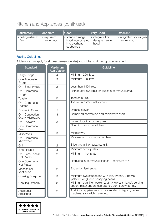### Kitchen and Appliances (continued)

| Satisfactory                          | Moderate                | Good                                                                | <b>Very Good</b>                          | Excellent                              |
|---------------------------------------|-------------------------|---------------------------------------------------------------------|-------------------------------------------|----------------------------------------|
| <sup>1</sup> • ceiling exhaust<br>fan | 'exposed'<br>range hood | • standard range<br>hood incorporated<br>into overhead<br>cupboards | • integrated or<br>designer range<br>hood | • integrated or designer<br>range-hood |

#### Facility Guidelines:

A tolerance may apply for all measurements (under) and will be confirmed upon assessment

| <b>Standard</b>                       | <b>Maximum</b><br><b>Rank/Value</b> | Guideline                                                                                                             |
|---------------------------------------|-------------------------------------|-----------------------------------------------------------------------------------------------------------------------|
| Large Fridge                          | 4                                   | Minimum 200 litres.                                                                                                   |
| Or - Adequate<br>Fridge               | 3                                   | Minimum 140 litres.                                                                                                   |
| Or - Small Fridge                     | $\overline{2}$                      | Less than 140 litres.                                                                                                 |
| Or - Communal<br>Fridge               | $\mathbf 1$                         | Refrigerator available for guest in communal area.                                                                    |
| Toaster                               | 3                                   | Toaster in unit.                                                                                                      |
| Or - Communal<br>Toaster              | 1                                   | Toaster in communal kitchen.                                                                                          |
| Domestic Oven                         | 5                                   | Domestic oven.                                                                                                        |
| Or - Convection<br>Oven/ Microwave    | 3                                   | Combined convection and microwave oven.                                                                               |
| Or - Stovette                         | $\overline{2}$                      | Stove plugs into power point.                                                                                         |
| Or - Communal<br>Oven                 | $\mathbf{1}$                        | Oven in communal kitchen.                                                                                             |
| Microwave                             | 3                                   | Microwave.                                                                                                            |
| Or - Communal<br>Microwave            | 1                                   | Microwave in communal kitchen.                                                                                        |
| Grill                                 | $\overline{2}$                      | Slide tray grill or separate grill.                                                                                   |
| 3 Hot Plates                          | 3                                   | Minimum 3 hot plates.                                                                                                 |
| Or - Less Than 3<br><b>Hot Plates</b> | $\overline{2}$                      | Minimum 1 hot plate.                                                                                                  |
| Or - Communal<br><b>Hot Plates</b>    | $\mathbf{1}$                        | Hotplates in communal kitchen - minimum of 4.                                                                         |
| Mechanical<br>Ventilation             | $\overline{2}$                      | Extraction fan/range.                                                                                                 |
| Cooking Equipment                     | 3                                   | Minimum two saucepans with lids, fry pan, 2 bowls<br>(salad/mixing), and chopping board.                              |
| <b>Cooking Utensils</b>               | 3                                   | Minimum egg lifter, peeler, 2 utility knives (1 large), serving<br>spoon, mixer spoon, can opener, cork screw, tongs. |
| Additional<br>Appliance               | $\overline{2}$                      | Additional appliances such as an electric frypan, coffee<br>machine, sandwich maker etc.                              |

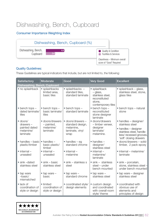## Dishwashing, Bench, Cupboard

#### Consumer Importance Weighting Index



#### Quality Guidelines:

These Guidelines are typical indicators that include, but are not limited to, the following:

| <b>Satisfactory</b>                                     | Moderate                                             | Good                                                              | <b>Very Good</b>                                                                              | <b>Excellent</b>                                                                                     |
|---------------------------------------------------------|------------------------------------------------------|-------------------------------------------------------------------|-----------------------------------------------------------------------------------------------|------------------------------------------------------------------------------------------------------|
| Dishwashing, Bench, Cupboard                            |                                                      |                                                                   |                                                                                               |                                                                                                      |
| • no splashback                                         | • splashbacks<br>limited area,<br>basic tiles        | $\bullet$ splashbacks $-$<br>standard tiles,<br>standard laminate | · splashback<br>- glass,<br>stainless steel.<br>reconstituted<br>stone,<br>contemporary tiles | · splashback - glass,<br>stainless steel, stone,<br>glass tiles                                      |
| $\bullet$ bench tops $-$<br>dated laminate/<br>tiles    | $\bullet$ bench tops $-$<br>basic laminate/<br>tiles | $\bullet$ bench tops $-$<br>standard laminate                     | $\bullet$ bench tops $-$<br>reconstituted<br>stone designer<br>laminate                       | • bench tops – natural<br>stone                                                                      |
| $\bullet$ doors/<br>$drawers -$                         | • doors/drawers<br>- painted,                        | · doors/drawers -<br>standard design,                             | • doors/drawers<br>- timber veneer,                                                           | • handles - designer/<br>stainless steel                                                             |
| painted dated<br>melamine/<br>laminate                  | melamine/<br>laminate                                | melamine,<br>laminate, vinyl<br>wrap                              | designer<br>laminate/<br>melamine.                                                            | • handles - designer<br>stainless steel, handle-<br>less/recessed grooves,<br>'soft' closing drawers |
| • handles - basic<br>plastic/timber                     | $\bullet$ handles $-$<br>basic plastic/<br>timber    | $\bullet$ handles - eg<br>standard chrome                         | $\bullet$ handles $-$<br>designer/<br>stainless steel                                         | · doors/drawers - solid<br>timber, 2 pack epoxy                                                      |
| $\bullet$ internal $-$<br>unsealed                      | $\bullet$ internal $-$<br>unsealed                   | $\bullet$ internal $-$<br>melamine                                | $\bullet$ internal $-$<br>melamine/<br>laminate                                               | • internal – melamine/<br>laminate                                                                   |
| $\bullet$ sink $-dated$<br>stainless steel              | $\bullet$ sink – basic<br>stainless steel            | $\bullet$ sink – stainless s<br>steel                             | $\bullet$ sink - stainless<br>steel - under<br>bench mounted                                  | $\bullet$ sink – porcelain,<br>stone, stainless steel -<br>under bench mounted                       |
| • tap ware<br>$-basic/$<br>mismatched                   | $\bullet$ tap ware $-$<br>basic                      | $\bullet$ tap ware $-$<br>standard chrome                         | $\bullet$ tap ware $-$<br>stainless steel                                                     | • tap ware – designer<br>stainless steel                                                             |
| $\bullet$ lack of<br>coordination of<br>style or design | • limited<br>coordination of<br>style or design      | · coordinated style/<br>design elements                           | • custom design<br>and coordinated<br>with overall room<br>style/ theme                       | • coordinated with<br>obvious use of<br>elements and<br>principles of design                         |

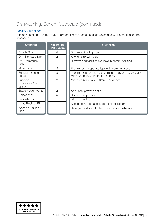### Dishwashing, Bench, Cupboard (continued)

#### Facility Guidelines:

A tolerance of up to 20mm may apply for all measurements (under/over) and will be confirmed upo assessment.

| <b>Standard</b>                             | <b>Maximum</b><br><b>Rank/Value</b> | <b>Guideline</b>                                                                   |
|---------------------------------------------|-------------------------------------|------------------------------------------------------------------------------------|
| Double Sink                                 | 4                                   | Double sink with plugs.                                                            |
| Or - Standard Sink                          | $\overline{2}$                      | Kitchen sink with plug.                                                            |
| Or - Communal<br>Sink                       |                                     | Dishwashing facilities available in communal area.                                 |
| Mixer Taps                                  | $\overline{2}$                      | Flick mixer or separate taps with common spout.                                    |
| Sufficien Bench<br>Space                    | 3                                   | 1000mm x 600mm, measurements may be accumulative.<br>Minimum measurement of 150mm. |
| <b>Sufficien</b><br>Cupboard/Shelf<br>Space | $\overline{2}$                      | Minimum 500mm x 600mm - as above.                                                  |
| Spare Power Points                          | $\overline{2}$                      | Additional power point/s.                                                          |
| Dishwasher                                  | 5                                   | Dishwasher provided.                                                               |
| Rubbish Bin                                 |                                     | Minimum 8 litre.                                                                   |
| Lined Rubbish Bin                           |                                     | Kitchen bin, lined and lidded, or in cupboard.                                     |
| Washing Liquids &<br>Aids                   |                                     | Detergents, dishcloth, tea towel, scour, dish-rack.                                |

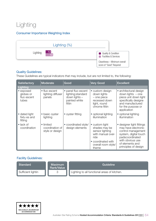## Lighting

#### Consumer Importance Weighting Index



#### Quality Guidelines:

These Guidelines are typical indicators that may include, but are not limited to, the following:

| <b>Satisfactory</b>                            | <b>Moderate</b>                                 | Good                                                                                  | <b>Very Good</b>                                                                                                                      | <b>Excellent</b>                                                                                                                                                                  |
|------------------------------------------------|-------------------------------------------------|---------------------------------------------------------------------------------------|---------------------------------------------------------------------------------------------------------------------------------------|-----------------------------------------------------------------------------------------------------------------------------------------------------------------------------------|
| Lighting                                       |                                                 |                                                                                       |                                                                                                                                       |                                                                                                                                                                                   |
| • exposed<br>globes or<br>fluo escent<br>tubes | • fluo escent<br>lighting diffuser<br>panels    | • panel fluo escent<br>lighting; standard<br>down lights -<br>painted white<br>fittin | • custom design<br>down lights<br>- one piece<br>recessed down<br>light, round<br>chrome fittin                                       | • architectural design<br>down lights $-$ one<br>piece unit down light<br>specifically designe<br>and manufactured<br>for the purpose or<br>application                           |
| • dated light<br>fixtu es and<br>fitting       | basic oyster<br>lighting                        | • oyster fitting                                                                      | • optional lighting<br>illumination                                                                                                   | • optional lighting<br>illumination                                                                                                                                               |
| $\bullet$ lack of<br>coordination              | • limited<br>coordination of<br>style or design | • coordinated style/<br>design elements                                               | • custom light<br>shades may be<br>sensor lighting<br>with manual over-<br>ride<br>• coordinated with<br>overall room style/<br>theme | • designer light fittings<br>may have electronic<br>control management<br>system, digital touch<br>padscoordinated<br>with obvious use<br>of elements and<br>principles of design |

| Standard           | <b>Maximum</b><br>Rank/Value | Guideline                                    |
|--------------------|------------------------------|----------------------------------------------|
| Sufficient lightin |                              | Lighting to all functional areas of kitchen. |

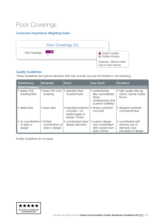### Floor Coverings

#### Consumer Importance Weighting Index

|                        | Floor Coverings (%) |                                                                            |
|------------------------|---------------------|----------------------------------------------------------------------------|
| <b>Floor Coverings</b> | 2.0<br>n/a          | Quality & Condition<br><b>Facilities &amp; Services</b><br><b>Contract</b> |
|                        |                     | Cleanliness - Minimum overall<br>score of "Good" Required                  |

#### Quality Guidelines:

These Guidelines are typical indicators that may include, but are not limited to, the following:

| <b>Satisfactory</b>                        | Moderate                                        | Good                                                                     | <b>Very Good</b>                                                                             | <b>Excellent</b>                                                             |  |  |  |
|--------------------------------------------|-------------------------------------------------|--------------------------------------------------------------------------|----------------------------------------------------------------------------------------------|------------------------------------------------------------------------------|--|--|--|
| <b>Floor Coverings</b>                     |                                                 |                                                                          |                                                                                              |                                                                              |  |  |  |
| • dated vinyl<br>sheeting/tiles            | • basic thin vinyl<br>sheeting                  | • standard tiles/<br>vinyl/laminate                                      | • contemporary<br>tiles, reconstituted<br>stone.<br>contemporary vinyl<br>(cushion underlay) | • high quality tiles eg<br>stone, natural rubber<br>floorin                  |  |  |  |
| • dated tiles                              | • basic tiles                                   | • standard polished<br>concrete - no<br>added agate or<br>design; timber | • timber, polished<br>concrete                                                               | • designer polished<br>concrete/timber                                       |  |  |  |
| • no coordination<br>of style or<br>design | • limited<br>coordination of<br>style or design | coordinated style/<br>design elements                                    | · custom design<br>and coordinated<br>with overall room<br>style/ theme                      | • coordinated with<br>obvious use of<br>elements and<br>principles of design |  |  |  |

Facility Guidelines do not apply.

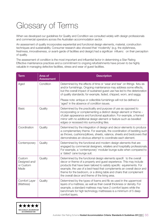# <span id="page-65-0"></span>Glossary of Terms

When we developed our guidelines for Quality and Condition we consulted widely with design professionals and commercial operators across the Australian accommodation sector.

An assessment of quality incorporates experiential and functional design elements, material, construction techniques and sustainability. Consumer research also showed that 'modernity' (e.g. the stylishness, freshness, innovativeness, or avant-garde of facilities and design) had a significan influenc on their perception of quality.

The assessment of condition is the most important and influential factor in determining a Star Rating Effective maintenance practices and a commitment to ongoing refurbishments have proven to be highly valuable in managing defective facilities, stress and wear of guest facilities.

| <b>Term</b>                                  | Area of<br><b>Assessment</b> | <b>Description</b>                                                                                                                                                                                                                                                                                                                                                                                                    |
|----------------------------------------------|------------------------------|-----------------------------------------------------------------------------------------------------------------------------------------------------------------------------------------------------------------------------------------------------------------------------------------------------------------------------------------------------------------------------------------------------------------------|
| Aged                                         | Condition                    | Determined by the effects of time or 'wear and tear' on fittings fixtu es<br>and/or furnishings. Ongoing maintenance may address some effects,<br>but the overall impact of sustained guest use has led to the deterioration<br>of quality standards; for example, faded, chipped, worn, and saggy.                                                                                                                   |
|                                              |                              | Please note: antique or collectible furnishings will not be defined a<br>'aged' in the absence of condition issues.                                                                                                                                                                                                                                                                                                   |
| <b>Basic</b>                                 | Quality                      | Determined by the practicality and purpose of use as opposed to<br>incorporating or complementing a distinct design element or theme -<br>of plain appearance and functional application. For example, a framed<br>mirror with no additional design element or feature such as bevelled<br>edges or recessed into surrounding tiles.                                                                                  |
| Coordination                                 | Quality                      | Determined by the integration of design and decor elements to produce<br>a complementary theme. For example, the coordination of bedding such<br>as throws, cushions/pillows, sheets, valance, sheets and bedcovers that<br>demonstrates an obvious attempt to coordinate each element.                                                                                                                               |
| Contemporary                                 | Quality                      | Determined by the functional and modern design elements that are<br>engaged by commercial designers, retailers and hospitality professionals.<br>For example, a 'contemporary' modular lounge suite when compared to<br>a 'dated' cane lounge suit.                                                                                                                                                                   |
| Custom<br>Designed and/<br>or Custom<br>Made | Quality                      | Determined by the functional design elements specifi to the overall<br>decor or theme of a property and guest experience. This may include<br>products that have been tailored to satisfy specific equirements. For<br>example, the use of a bed-head that complements an overall decor and<br>theme for the bedroom, or a dining table and chairs that complement<br>the overall decor and theme of the living area. |
| Comfort Layer<br>(Mattress)                  | Quality                      | Determined by the types of foams and fib es used in the uppermost<br>layers of a mattress, as well as their overall thickness or density. For<br>example, a standard mattress may have 2 comfort layers while the<br>benchmark for high technology mattresses is a minimum of 5 deep<br>comfort layers.                                                                                                               |